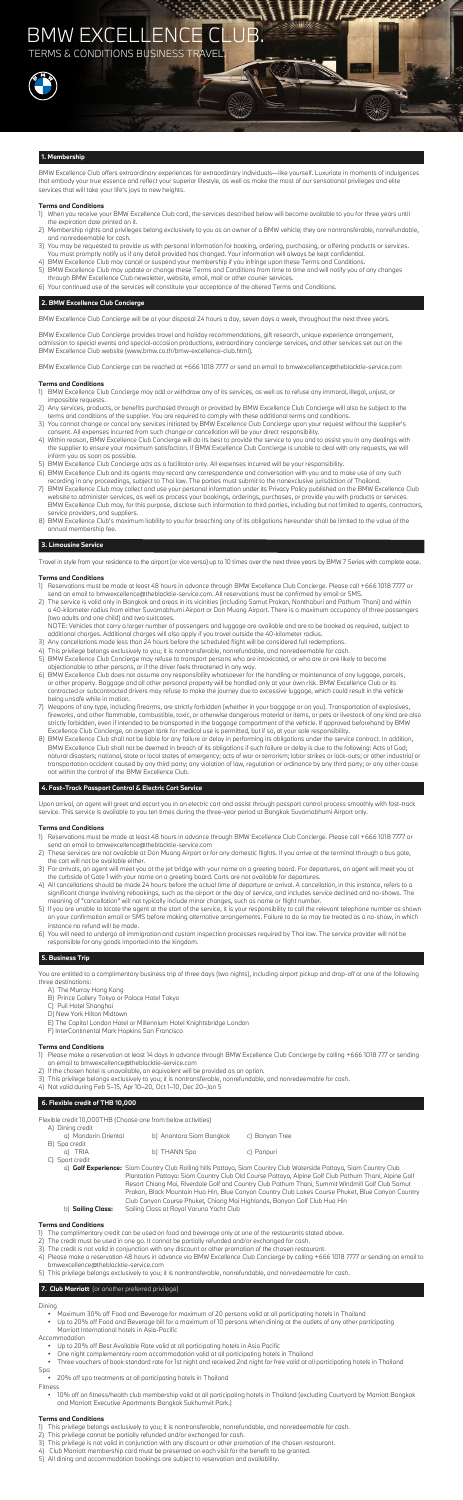BMW Excellence Club offers extraordinary experiences for extraordinary individuals—like yourself. Luxuriate in moments of indulgences that embody your true essence and reflect your superior lifestyle, as well as make the most of our sensational privileges and elite services that will take your life's joys to new heights.

## **Terms and Conditions**

- 1) When you receive your BMW Excellence Club card, the services described below will become available to you for three years until the expiration date printed on it.
- 2) Membership rights and privileges belong exclusively to you as an owner of a BMW vehicle; they are nontransferable, nonrefundable, and nonredeemable for cash.
- 3) You may be requested to provide us with personal information for booking, ordering, purchasing, or offering products or services. You must promptly notify us if any detail provided has changed. Your information will always be kept confidential.
- 4) BMW Excellence Club may cancel or suspend your membership if you infringe upon these Terms and Conditions.
- 5) BMW Excellence Club may update or change these Terms and Conditions from time to time and will notify you of any changes through BMW Excellence Club newsletter, website, email, mail or other courier services.
- 6) Your continued use of the services will constitute your acceptance of the altered Terms and Conditions.

## **2. BMW Excellence Club Concierge**

BMW Excellence Club Concierge will be at your disposal 24 hours a day, seven days a week, throughout the next three years.

BMW Excellence Club Concierge provides travel and holiday recommendations, gift research, unique experience arrangement, admission to special events and special-occasion productions, extraordinary concierge services, and other services set out on the BMW Excellence Club website (www.bmw.co.th/bmw-excellence-club.html).

BMW Excellence Club Concierge can be reached at +666 1018 7777 or send an email to bmwexcellence@theblacktie-service.com

## **Terms and Conditions**

- 1) BMW Excellence Club Concierge may add or withdraw any of its services, as well as to refuse any immoral, illegal, unjust, or impossible requests.
- 2) Any services, products, or benefits purchased through or provided by BMW Excellence Club Concierge will also be subject to the terms and conditions of the supplier. You are required to comply with these additional terms and conditions.
- 3) You cannot change or cancel any services initiated by BMW Excellence Club Concierge upon your request without the supplier's consent. All expenses incurred from such change or cancellation will be your direct responsibility.
- 4) Within reason, BMW Excellence Club Concierge will do its best to provide the service to you and to assist you in any dealings with the supplier to ensure your maximum satisfaction. If BMW Excellence Club Concierge is unable to deal with any requests, we will inform you as soon as possible.
- 5) BMW Excellence Club Concierge acts as a facilitator only. All expenses incurred will be your responsibility.
- 6) BMW Excellence Club and its agents may record any correspondence and conversation with you and to make use of any such recording in any proceedings, subject to Thai law. The parties must submit to the nonexclusive jurisdiction of Thailand.
- 7) BMW Excellence Club may collect and use your personal information under its Privacy Policy published on the BMW Excellence Club website to administer services, as well as process your bookings, orderings, purchases, or provide you with products or services. BMW Excellence Club may, for this purpose, disclose such information to third parties, including but not limited to agents, contractors, service providers, and suppliers.
- 8) BMW Excellence Club's maximum liability to you for breaching any of its obligations hereunder shall be limited to the value of the annual membership fee.

## **3. Limousine Service**

Travel in style from your residence to the airport (or vice versa) up to 10 times over the next three years by BMW 7 Series with complete ease.

## **Terms and Conditions**

- 1) Reservations must be made at least 48 hours in advance through BMW Excellence Club Concierge. Please call +666 1018 7777 or send an email to bmwexcellence@theblacktie-service.com. All reservations must be confirmed by email or SMS.
- 2) The service is valid only in Bangkok and areas in its vicinities (including Samut Prakan, Nonthaburi and Pathum Thani) and within a 40-kilometer radius from either Suvarnabhumi Airport or Don Muang Airport. There is a maximum occupancy of three passengers (two adults and one child) and two suitcases.

 NOTE: Vehicles that carry a larger number of passengers and luggage are available and are to be booked as required, subject to additional charges. Additional charges will also apply if you travel outside the 40-kilometer radius.

- 3) Any cancellations made less than 24 hours before the scheduled flight will be considered full redemptions.
- 4) This privilege belongs exclusively to you; it is nontransferable, nonrefundable, and nonredeemable for cash.
- 5) BMW Excellence Club Concierge may refuse to transport persons who are intoxicated, or who are or are likely to become objectionable to other persons, or if the driver feels threatened in any way.
- 6) BMW Excellence Club does not assume any responsibility whatsoever for the handling or maintenance of any luggage, parcels, or other property. Baggage and all other personal property will be handled only at your own risk. BMW Excellence Club or its contracted or subcontracted drivers may refuse to make the journey due to excessive luggage, which could result in the vehicle being unsafe while in motion. 7) Weapons of any type, including firearms, are strictly forbidden (whether in your baggage or on you). Transportation of explosives, fireworks, and other flammable, combustible, toxic, or otherwise dangerous material or items, or pets or livestock of any kind are also strictly forbidden, even if intended to be transported in the baggage compartment of the vehicle. If approved beforehand by BMW Excellence Club Concierge, an oxygen tank for medical use is permitted, but if so, at your sole responsibility. 8) BMW Excellence Club shall not be liable for any failure or delay in performing its obligations under the service contract. In addition, BMW Excellence Club shall not be deemed in breach of its obligations if such failure or delay is due to the following: Acts of God; natural disasters; national, state or local states of emergency; acts of war or terrorism; labor strikes or lock-outs; or other industrial or transportation accident caused by any third party; any violation of law, regulation or ordinance by any third party; or any other cause not within the control of the BMW Excellence Club.

## **4. Fast-Track Passport Control & Electric Cart Service**

Upon arrival, an agent will greet and escort you in an electric cart and assist through passport control process smoothly with fast-track service. This service is available to you ten times during the three-year period at Bangkok Suvarnabhumi Airport only.

## **Terms and Conditions**

- 1) Reservations must be made at least 48 hours in advance through BMW Excellence Club Concierge. Please call +666 1018 7777 or send an email to bmwexcellence@theblacktie-service.com
- 2) These services are not available at Don Muang Airport or for any domestic flights. If you arrive at the terminal through a bus gate, the cart will not be available either.
- 3) For arrivals, an agent will meet you at the jet bridge with your name on a greeting board. For departures, an agent will meet you at the curbside of Gate 1 with your name on a greeting board. Carts are not available for departures.
- 4) All cancellations should be made 24 hours before the actual time of departure or arrival. A cancellation, in this instance, refers to a significant change involving rebookings, such as the airport or the day of service, and includes service declined and no-shows. The meaning of "cancellation" will not typically include minor changes, such as name or flight number.
- 5) If you are unable to locate the agent at the start of the service, it is your responsibility to call the relevant telephone number as shown on your confirmation email or SMS before making alternative arrangements. Failure to do so may be treated as a no-show, in which instance no refund will be made.
- 6) You will need to undergo all immigration and custom inspection processes required by Thai law. The service provider will not be responsible for any goods imported into the kingdom.

## **5. Business Trip**

You are entitled to a complimentary business trip of three days (two nights), including airport pickup and drop-off at one of the following three destinations:

- A) The Murray Hong Kong
- B) Prince Gallery Tokyo or Palace Hotel Tokyo
- C) Puli Hotel Shanghai
- D) New York Hilton Midtown
- E) The Capital London Hotel or Millennium Hotel Knightsbridge London
- F) InterContinental Mark Hopkins San Francisco

## **Terms and Conditions**

- 1) Please make a reservation at least 14 days in advance through BMW Excellence Club Concierge by calling +666 1018 777 or sending an email to bmwexcellence@theblacktie-service.com
- 2) If the chosen hotel is unavailable, an equivalent will be provided as an option.
- 3) This privilege belongs exclusively to you; it is nontransferable, nonrefundable, and nonredeemable for cash.
- 4) Not valid during Feb 5–15, Apr 10–20, Oct 1–10, Dec 20–Jan 5

## **6. Flexible credit of THB 10,000**

Flexible credit 10,000THB (Choose one from below activities)

| b) Anantara Siam Bangkok | c) Banyan Tree |
|--------------------------|----------------|
|                          |                |
| b) THANN Spa             | c) Panpuri     |
|                          |                |
|                          |                |

 a) **Golf Experience:** Siam Country Club Rolling hills Pattaya, Siam Country Club Waterside Pattaya, Siam Country Club Plantation Pattaya: Siam Country Club Old Course Pattaya, Alpine Golf Club Pathum Thani, Alpine Golf Resort Chiang Mai, Riverdale Golf and Country Club Pathum Thani, Summit Windmill Golf Club Samut Prakan, Black Mountain Hua Hin, Blue Canyon Country Club Lakes Course Phuket, Blue Canyon Country Club Canyon Course Phuket, Chiang Mai Highlands, Banyan Golf Club Hua Hin b) **Sailing Class:** Sailing Class at Royal Varuna Yacht Club

## **Terms and Conditions**

- 1) The complimentary credit can be used on food and beverage only at one of the restaurants stated above.
- 2) The credit must be used in one go. It cannot be partially refunded and/or exchanged for cash.
- 3) The credit is not valid in conjunction with any discount or other promotion of the chosen restaurant.
- 4) Please make a reservation 48 hours in advance via BMW Excellence Club Concierge by calling +666 1018 7777 or sending an email to bmwexcellence@theblacktie-service.com
- 5) This privilege belongs exclusively to you; it is nontransferable, nonrefundable, and nonredeemable for cash.

## **7. Club Marriott** (or another preferred privilege)

Dining

- Maximum 30% off Food and Beverage for maximum of 20 persons valid at all participating hotels in Thailand
- Up to 20% off Food and Beverage bill for a maximum of 10 persons when dining at the outlets of any other participating Marriott International hotels in Asia-Pacific

## Accommodation

- Up to 20% off Best Available Rate valid at all participating hotels in Asia Pacific
- One night complementary room accommodation valid at all participating hotels in Thailand
- Three vouchers of book standard rate for 1st night and received 2nd night for free valid at all participating hotels in Thailand

Spa

 • 20% off spa treatments at all participating hotels in Thailand Fitness

• 10% off on fitness/health club membership valid at all participating hotels in Thailand (excluding Courtyard by Marriott Bangkok

#### and Marriott Executive Apartments Bangkok Sukhumvit Park.)

## **Terms and Conditions**

- 1) This privilege belongs exclusively to you; it is nontransferable, nonrefundable, and nonredeemable for cash.
- 2) This privilege cannot be partially refunded and/or exchanged for cash.
- 3) This privilege is not valid in conjunction with any discount or other promotion of the chosen restaurant.
- 4) Club Marriott membership card must be presented on each visit for the benefit to be granted.
- 5) All dining and accommodation bookings are subject to reservation and availability.

# BMW EXCELLENCE CLUB.

**TERMS & CONDITIONS BUSINESS TRAVEL** 

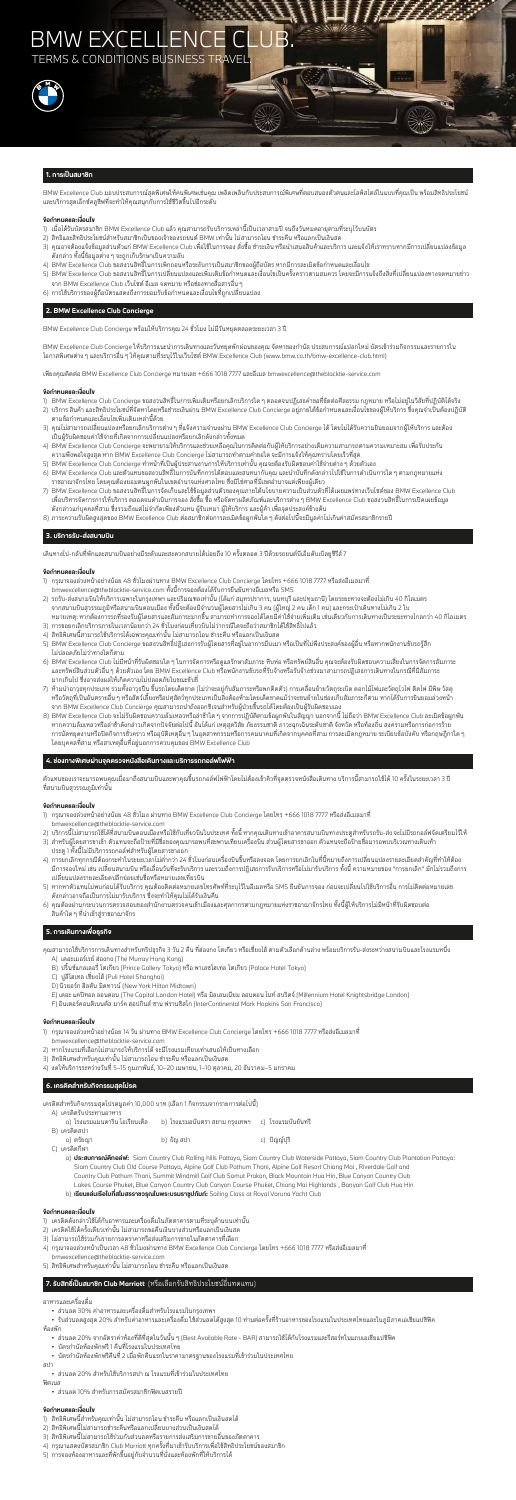## **1. การเปนสมาชิก**

BMW Excellence Club มอบประสบการณสุดพิเศษใหคนพิเศษเชนคุณ เพลิดเพลินกับประสบการณพิเศษที่ตอบสนองตัวตนและไลฟสไตลในแบบที่คุณเปน พรอมสิทธิประโยชน และบริการสุดเอ็กซคลูซีฟที่จะทำใหคุณสนุกกับการใชชีวิตขึ้นไปอีกระดับ

### **ขอกำหนดและเงื่อนไข**

- 1) เมื่อได้รับบัตรสมาชิก BMW Excellence Club แล้ว คุณสามารถรับบริการเหล่านี้เป็นเวลาสามปี จนถึงวันหมดอายุตามที่ระบุไว้บนบัตร
- 2) สิทธิและสิทธิประโยชน์สำหรับสมาชิกเป็นของเจ้าของรถยนต์ BMW เท่านั้น ไม่สามารถโอน ชำระคืน หรือแลกเป็นเงินสด
- 3) คุณอาจต้องแจ้งข้อมูลส่วนตัวแก่ BMW Excellence Club เพื่อใช้ในการจอง สั่งซื้อ ชำระเงิน หรือนำเสนอสินค้าและบริการ และแจ้งให้เราทราบหากมีการเปลี่ยนแปลงข้อมูล ดังกลาว ทั้งนี้ขอมูลตางๆ จะถูกเก็บรักษาเปนความลับ
- 4) BMW Excellence Club ขอสงวนสิทธิ์ในการเพิกถอนหรือระงับการเปนสมาชิกของผูถือบัตร หากมีการละเมิดขอกำหนดและเงื่อนไข
- 5) BMW Excellence Club ขอสงวนสิทธิ์ในการเปลี่ยนแปลงและเพิ่มเติมข้อกำหนดและเงื่อนไขเป็นครั้งคราวตามสมควร โดยจะมีการแจ้งถึงสิ่งที่เปลี่ยนแปลงทางจดหมายข่าว จาก BMW Excellence Club เว็บไซต อีเมล จดหมาย หรือชองทางสื่อสารอื่นๆ
- 6) การใชบริการของผูถือบัตรแสดงถึงการยอมรับขอกำหนดและเงื่อนไขที่ถูกเปลี่ยนแปลง

BMW Excellence Club Concierge ให้บริการแนะนำการเดินทางและวันหยุดพักผ่อนของคณ จัดหาของกำนัล ประสบการณ์แปลกใหม่ บัตรเข้าร่วมกิจกรรมและรายการใน โอกาสพิเศษตางๆ และบริการอื่นๆ ใหคุณตามที่ระบุไวในเว็บไซต BMW Excellence Club (www.bmw.co.th/bmw-excellence-club.html)

## **2. BMW Excellence Club Concierge**

BMW Excellence Club Concierge พรอมใหบริการคุณ 24 ชั่วโมง ไมมีวันหยุดตลอดระยะเวลา 3 ป

เพียงคุณติดตอ BMW Excellence Club Concierge หมายเลข +666 1018 7777 และอีเมล bmwexcellence@theblacktie-service.com

#### **ขอกำหนดและเงื่อนไข**

- 1) BMW Excellence Club Concierge ขอสงวนสิทธิ์ในการเพิ่มเติมหรือยกเลิกบริการใดๆ ตลอดจนปฏิเสธคำขอที่ขัดตอศีลธรรม กฎหมาย หรือไมอยูในวิสัยที่ปฏิบัติไดจริง
- 2) บริการ สินค้า และสิทธิประโยชน์ที่จัดหาโดยหรือชำระเงินผ่าน BMW Excellence Club Concierge อยู่ภายใต้ข้อกำหนดและเงื่อนไขของผู้ให้บริการ ซึ่งคุณจำเป็นต้องปฏิบัติ ตามขอกำหนดและเงื่อนไขเพิ่มเติมเหลานี้ดวย
- 3) คุณไม่สามารถเปลี่ยนแปลงหรือยกเลิกบริการต่าง ๆ ที่แจ้งความจำนงผ่าน BMW Excellence Club Concierge ได้ โดยไม่ได้รับความยินยอมจากผู้ให้บริการ และต้อง เปนผูรับผิดชอบคาใชจายที่เกิดจากการเปลี่ยนแปลงหรือยกเลิกดังกลาวทั้งหมด
- 4) BMW Excellence Club Concierge จะพยายามใหบริการและชวยเหลือคุณในการติดตอกับผูใหบริการอยางเต็มความสามารถตามความเหมาะสม เพื่อรับประกัน ความพึงพอใจสูงสุด หาก BMW Excellence Club Concierge ไมสามารถทำตามคำขอใด จะมีการแจงใหคุณทราบโดยเร็วที่สุด
- 5) BMW Excellence Club Concierge ทำหน้าที่เป็นผู้ประสานงานการให้บริการเท่านั้น คุณจะต้องรับผิดชอบค่าใช้จ่ายต่าง ๆ ด้วยตัวเอง
- 6) BMW Excellence Club และตัวแทนขอสงวนสิทธิ์ในการบันทึกการโตตอบและสนทนากับคุณ และนำบันทึกดังกลาวไปใชในการดำเนินการใดๆ ตามกฎหมายแหง ราชอาณาจักรไทย โดยคุณต้องยอมตนผูกพันในเขตอำนาจแห่งศาลไทย ซึ่งมิใช่ศาลที่มีเขตอำนาจแต่เพียงผู้เดียว
- 7) BMW Excellence Club ขอสงวนสิทธิ์ในการจัดเก็บและใช้ข้อมูลส่วนตัวของคุณภายใต้นโยบายความเป็นส่วนตัวที่ได้เผยแพร่ทางเว็บไซต์ของ BMW Excellence Club เพื่อบริหารจัดการการใหบริการ ตลอดจนดำเนินการจอง สั่งซื้อ ซื้อ หรือจัดหาผลิตภัณฑและบริการตางๆ BMW Excellence Club ขอสงวนสิทธิ์ในการเปดเผยขอมูล ้ดังกล่าวแก่บุคคลที่สาม ซึ่งรวมถึงแต่ไม่จำกัดเพียงตัวแทน ผู้รับเหมา ผู้ให้บริการ และผู้ค้า เพื่อจุดประสงค์ข้างต้น
- 8) ภาระความรับผิดสูงสุดของ BMW Excellence Club ตอสมาชิกตอการละเมิดขอผูกพันใดๆ ดังตอไปนี้จะมีมูลคาไมเกินคาสมัครสมาชิกรายป

- 1) กรุณาจองลวงหนาอยางนอย 48 ชั่วโมง ผานทาง BMW Excellence Club Concierge โดยโทร +666 1018 7777 หรือสงอีเมลมาที่ bmwexcellence@theblacktie-service.com
- 2) บริการนี้ไม่สามารถใช้ได้ที่สนามบินดอนเมืองหรือใช้กับเที่ยวบินในประเทศ ทั้งนี้ หากคุณเดินทางเข้าอาคารสนามบินทางประตูสำหรับรถรับ-ส่ง จะไม่มีรถกอล์ฟจัดเตรียมไว้ให้
- 3) สำหรับผู้โดยสารขาเข้า ตัวแทนจะถือป้ายที่มีชื่อของคุณมารอพบที่สะพานเทียบเครื่องบิน ส่วนผู้โดยสารขาออก ตัวแทนจะถือป้ายชื่อมารอพบบริเวณทางเดินเท้า ประตู 1 ทั้งนี้ไมมีบริการรถกอลฟสำหรับผูโดยสารขาออก
- 4) การยกเลิกทกกรณีต้องกระทำในระยะเวลาไม่ต่ำกว่า 24 ชั่วโมงก่อนเครื่องบินขึ้นหรือลงจอด โดยการยกเลิกในที่นี้หมายถึงการเปลี่ยนแปลงรายละเอียดสำคัญที่ทำให้ต้อง มีการจองใหม่ เช่น เปลี่ยนสนามบิน หรือเลื่อนวันที่จะรับบริการ และรวมถึงการปฏิเสธการรับบริการขั้นขี้ กรมหมาขิดง "การยกเลิก" มักไม่รวมถึงการ เปลี่ยนแปลงรายละเอียดปลีกยอยเชนชื่อหรือหมายเลขเที่ยวบิน
- 5) หากหาตัวแทนไม่พบก่อนได้รับบริการ คุณต้องติดต่อหมายเลขโทรศัพท์ที่ระบุไว้ในอีเมลหรือ SMS ยืนยันการจอง ก่อนจะเปลี่ยนไปใช้บริการอื่น การไม่ติดต่อหมายเลข ดังกลาวอาจถือเปนการไมมารับบริการ ซึ่งจะทำใหคุณไมไดรับเงินคืน
- 6) คุณตองผานกระบวนการตรวจสอบของสำนักงานตรวจคนเขาเมืองและศุลกากรตามกฎหมายแหงราชอาณาจักรไทย ทั้งนี้ผูใหบริการไมมีหนาที่รับผิดชอบตอ สินค้าใด ๆ ที่นำเข้าส่ราชอาณาจักร

## **3. บริการรับ-สงสนามบิน**

เดินทางไป-กลับที่พักและสนามบินอย่างมีระดับและสะดวกสบายได้บ่อยถึง 10 ครั้งตลอด 3 ปีด้วยรถยนต์บีเอ็มดับเบิลยูซีรีส์ 7

### **ขอกำหนดและเงื่อนไข**

- 2) หากโรงแรมที่เลือกไม่สามารถให้บริการได้ จะมีโรงแรมเทียบเท่าเสนอให้เป็นทางเลือก
- 3) สิทธิพิเศษสำหรับคุณเทานั้น ไมสามารถโอน ชำระคืน หรือแลกเปนเงินสด
- 4) งดใหบริการระหวางวันที่ 5–15 กุมภาพันธ, 10–20 เมษายน, 1–10 ตุลาคม, 20 ธันวาคม–5 มกราคม
- 1) กรุณาจองลวงหนาอยางนอย 48 ชั่วโมงผานทาง BMW Excellence Club Concierge โดยโทร +666 1018 7777 หรือสงอีเมลมาที่ bmwexcellence@theblacktie-service.com ทั้งนี้การจองตองไดรับการยืนยันทางอีเมลหรือ SMS
- 2) รถรับ-สงสนามบินใหบริการเฉพาะในกรุงเทพฯ และปริมณฑลเทานั้น (ไดแก สมุทรปราการ, นนทบุรี และปทุมธานี) โดยระยะทางจะตองไมเกิน 40 กิโลเมตร จากสนามบินสุวรรณภูมิหรือสนามบินดอนเมือง ทั้งนี้จะตองมีจำนวนผูโดยสารไมเกิน 3 คน (ผูใหญ 2 คน เด็ก 1 คน) และกระเปาเดินทางไมเกิน 2 ใบ
- หมายเหตุ: หากต้องการรถที่รองรับผู้โดยสารและสัมภาระมากขึ้น สามารถทำการจองได้โดยมีค่าใช้จ่ายเพิ่มเติม เช่นเดียวกับการเดินทางเป็นระยะทางไกลกว่า 40 กิโลเมตร 3) การขอยกเลิกบริการภายในเวลาน้อยกว่า 24 ชั่วโมงก่อนเที่ยวบินไม่ว่ากรณีใดจะถือว่าสมาชิกได้ใช้สิทธิ์ไปแล้ว
- 4) สิทธิพิเศษนี้สามารถใชบริการไดเฉพาะคุณเทานั้น ไมสามารถโอน ชำระคืน หรือแลกเปนเงินสด
- 5) BMW Excellence Club Concierge ขอสงวนสิทธิ์ปฏิเสธการรับผู้โดยสารที่อยู่ในอาการมึนเมา หรือเป็นที่ไม่พึงประสงค์ของผู้อื่น หรือหากพนักงานขับรถรู้สึก ไมปลอดภัยไมวาทางใดก็ตาม
- 6) BMW Excellence Club ไมมีหนาที่รับผิดชอบใดๆ ในการจัดการหรือดูแลรักษาสัมภาระ หีบหอ หรือทรัพยสินอื่น คุณจะตองรับผิดชอบความเสี่ยงในการจัดการสัมภาระ และทรัพย์สินส่วนตัวอื่น ๆ ด้วยตัวเอง โดย BMW Excellence Club หรือพนักงานขับรถที่รับจ้างหรือรับจ้างช่วงมาสามารถปฏิเสธการเดินทางในกรณีที่มีสัมภาระ มากเกินไป ซึ่งอาจสงผลใหเกิดความไมปลอดภัยในขณะขับขี่
- 7) ห้ามนำอาวุธทุกประเภท รวมทั้งอาวุธปืน ขึ้นรถโดยเด็ดขาด (ไม่ว่าจะอยู่กับสัมภาระหรือพกติดตัว) การเคลื่อนย้ายวัตถุระเบิด ดอกไม้ไฟและวัตถุไวไฟ ติดไฟ มีพิษ วัสดุ หรือวัตถุที่เป็นอันตรายอื่น ๆ หรือสัตว์เลี้ยงหรือปศุสัตว์ทุกประเภทเป็นสิ่งต้องห้ามโดยเด็ดขาดแม้ว่าจะขนย้ายในช่องเก็บสัมภาระก็ตาม หากได้รับการยินยอมล่วงหน้า จาก BMW Excellence Club Concierge คุณสามารถนำถังออกซิเจนสำหรับผูปวยขึ้นรถไดโดยตองเปนผูรับผิดชอบเอง
- 8) BMW Excellence Club จะไมรับผิดชอบความลมเหลวหรือลาชาใดๆ จากการปฏิบัติตามขอผูกพันในสัญญา นอกจากนี้ ไมถือวา BMW Excellence Club ละเมิดขอผูกพัน หากความล้มเหลวหรือล่าช้าดังกล่าวเกิดจากปัจจัยต่อไปนี้ อันได้แก่ เหตุสุดวิสัย ภัยธรรมชาติ ภาวะฉุกเฉินระดับชาติ จังหวัด หรือท้องถิ่น สงครามหรือการก่อการร้าย การนัดหยุดงานหรือปดกิจการชั่วคราว หรืออุบัติเหตุอื่นๆ ในอุตสาหกรรมหรือการคมนาคมที่เกิดจากบุคคลที่สาม การละเมิดกฎหมาย ระเบียบขอบังคับ หรือกฤษฎีกาใดๆ โดยบุคคลที่สาม หรือสาเหตุอื่นที่อยูนอกการควบคุมของ BMW Excellence Club

## **4. ชองทางพิเศษผานจุดตรวจหนังสือเดินทางและบริการรถกอลฟไฟฟา**

เแทนของเราจะมารอพบคุณเมือมาถึงสนามบินและพาคุณขึ้นรถกอล์ฟไฟฟ้าโดยไม่ต้องเข้าคิวที่จุดตรวจหนังสือเดินทาง บริการนี้สามารถใช้ได้ 10 ครั้งในระ

ที่สนามบินสุวรรณภูมิเทานั้น

## **ขอกำหนดและเงื่อนไข**

## **5. การเดินทางเพื่อธุรกิจ**

คุณสามารถใชบริการการเดินทางสำหรับทริปธุรกิจ 3 วัน 2 คืน ที่ฮองกง โตเกียว หรือเซี่ยงไฮ ตามตัวเลือกดานลาง พรอมบริการรับ-สงระหวางสนามบินและโรงแรมหนึ่ง

- A) เดอะเมอรเรย ฮองกง (The Murray Hong Kong)
- B) ปริ้นซแกลเลอรี่ โตเกียว (Prince Gallery Tokyo) หรือ พาเลซโฮเทล โตเกียว (Palace Hotel Tokyo)
- C) ปูลีโฮเทล เซี่ยงไฮ (Puli Hotel Shanghai)
- D) นิวยอรก ฮิลตัน มิดทาวน (New York Hilton Midtown)
- E) เดอะ แคปทอล ลอนดอน (The Capital London Hotel) หรือ มิลเลนเนียม ลอนดอน ไนท สบริดจ (Millennium Hotel Knightsbridge London)
- F) อินเตอรคอนติเนนตัล มารค ฮอปกินส ซาน ฟรานซิสโก (InterContinental Mark Hopkins San Francisco)

## **ขอกำหนดและเงื่อนไข**

1) กรุณาจองลวงหนาอยางนอย 14 วัน ผานทาง BMW Excellence Club Concierge โดยโทร +666 1018 7777 หรือสงอีเมลมาที่ bmwexcellence@theblacktie-service.com

## **6. เครดิตสำหรับกิจกรรมสุดโปรด**

เครดิตสำหรับกิจกรรมสุดโปรดมูลคา 10,000 บาท (เลือก 1 กิจกรรมจากรายการตอไปนี้)

A) เครดิตรับประทานอาหาร

| a) โรงแรมแมนดาริน โอเรียนเต็ล | b) โรงแรมอนันตรา สยาม กรุงเทพฯ     c)  โรงแรมบันยันทรี |             |
|-------------------------------|--------------------------------------------------------|-------------|
| B) เครดิตสปา                  |                                                        |             |
| a) ตรัยฌา                     | b) ธัญ สปา                                             | c) ปัญญ์ปริ |

- C) เครดิตกีฬา
	- a) **ประสบการณตีกอลฟ:** Siam Country Club Rolling hills Pattaya, Siam Country Club Waterside Pattaya, Siam Country Club Plantation Pattaya: Siam Country Club Old Course Pattaya, Alpine Golf Club Pathum Thani, Alpine Golf Resort Chiang Mai , Riverdale Golf and Country Club Pathum Thani, Summit Windmill Golf Club Samut Prakan, Black Mountain Hua Hin, Blue Canyon Country Club Lakes Course Phuket, Blue Canyon Country Club Canyon Course Phuket, Chiang Mai Highlands , Banyan Golf Club Hua Hin
	- b) **เรียนแลนเรือใบที่สโมสรราชวรุณในพระบรมราชูปถัมภ:** Sailing Class at Royal Varuna Yacht Club

## **ขอกำหนดและเงื่อนไข**

- 1) เครดิตดังกลาวใชไดกับอาหารและเครื่องดื่มในภัตตาคารตามที่ระบุดานบนเทานั้น
- 2) เครดิตใชไดครั้งเดียวเทานั้น ไมสามารถขอคืนเงินบางสวนหรือแลกเปนเงินสด
- 3) ไม่สามารถใช้ร่วมกับรายการลดราคาหรือส่งเสริมการขายในภัตตาคารที่เลือก
- $4$ ) กรุณาจองล่วงหน้าเป็นเวลา  $48$  ชั่วโมงผ่านทาง BMW Excellence Club Concierge โดยโทร +666 1018 7777 หรือส่งอีเมลมาที่ bmwexcellence@theblacktie-service.com
- 5) สิทธิพิเศษสำหรับคุณเทานั้น ไมสามารถโอน ชำระคืน หรือแลกเปนเงินสด

## **7. รับสิทธิ์เปนสมาชิก Club Marriott** (หรือเลือกรับสิทธิประโยชนอื่นทดแทน)

#### อาหารและเครื่องดื่ม

• สวนลด 30% คาอาหารและเครื่องดื่มสำหรับโรงแรมในกรุงเทพฯ

 • รับสวนลดสูงสุด 20% สําหรับคาอาหารและเครื่องดื่ม ใชสวนลดไดสูงสุด 10 ทานตอครั้งที่รานอาหารของโรงแรมในประเทศไทยและในภูมิภาคเอเชียแปซิฟค หองพัก

- สวนลด 20% จากอัตราคาหองที่ดีที่สุดในวันนั้นๆ (Best Available Rate BAR) สามารถใชไดกับโรงแรมและรีสอรทในแถบเอเชียแปซิฟค
- บัตรกำนัลหองพักฟรี 1 คืนที่โรงแรมในประเทศไทย
- บัตรกำนัลหองพักฟรีคืนที่ 2 เมื่อพักคืนแรกในราคามาตรฐานของโรงแรมที่เขารวมในประเทศไทย

สปา

• สวนลด 20% สำหรับใชบริการสปา ณ โรงแรมที่เขารวมในประเทศไทย

ฟตเนส

• สวนลด 10% สำหรับการสมัครสมาชิกฟตเนสรายป

## **ขอกำหนดและเงื่อนไข**

- 1) สิทธิพิเศษนี้สำหรับคุณเทานั้น ไมสามารถโอน ชำระคืน หรือแลกเปนเงินสดได
- 2) สิทธิพิเศษนี้ไมสามารถชำระคืนหรือแลกเปลี่ยนบางสวนเปนเงินสดได
- 3) สิทธิพิเศษนี้ไม่สามารถใช้ร่วมกับส่วนลดหรือรายการส่งเสริมการขายอื่นของภัตตาคาร
- 4) กรุณาแสดงบัตรสมาชิก Club Marriott ทุกครั้งที่มาเขารับบริการเพื่อใชสิทธิประโยชนของสมาชิก
- 5) การจองหองอาหารและที่พักขึ้นอยูกับจำนวนที่นั่งและหองพักที่ใหบริการได

# BMW EXCELLENCE CLUB.

TERMS & CONDITIONS BUSINESS TRAVEL.

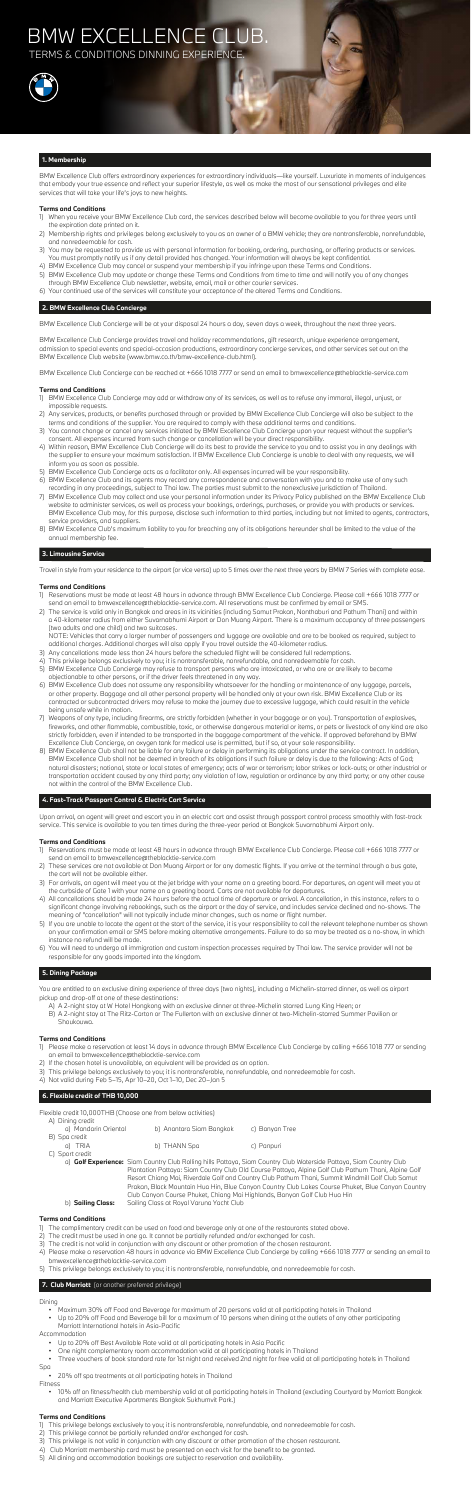BMW Excellence Club offers extraordinary experiences for extraordinary individuals—like yourself. Luxuriate in moments of indulgences that embody your true essence and reflect your superior lifestyle, as well as make the most of our sensational privileges and elite services that will take your life's joys to new heights.

### **Terms and Conditions**

- 1) When you receive your BMW Excellence Club card, the services described below will become available to you for three years until the expiration date printed on it.
- 2) Membership rights and privileges belong exclusively to you as an owner of a BMW vehicle; they are nontransferable, nonrefundable, and nonredeemable for cash.
- 3) You may be requested to provide us with personal information for booking, ordering, purchasing, or offering products or services. You must promptly notify us if any detail provided has changed. Your information will always be kept confidential.
- 4) BMW Excellence Club may cancel or suspend your membership if you infringe upon these Terms and Conditions.
- 5) BMW Excellence Club may update or change these Terms and Conditions from time to time and will notify you of any changes through BMW Excellence Club newsletter, website, email, mail or other courier services.
- 6) Your continued use of the services will constitute your acceptance of the altered Terms and Conditions.

## **2. BMW Excellence Club Concierge**

BMW Excellence Club Concierge will be at your disposal 24 hours a day, seven days a week, throughout the next three years.

BMW Excellence Club Concierge provides travel and holiday recommendations, gift research, unique experience arrangement, admission to special events and special-occasion productions, extraordinary concierge services, and other services set out on the BMW Excellence Club website (www.bmw.co.th/bmw-excellence-club.html).

BMW Excellence Club Concierge can be reached at +666 1018 7777 or send an email to bmwexcellence@theblacktie-service.com

## **Terms and Conditions**

- 1) BMW Excellence Club Concierge may add or withdraw any of its services, as well as to refuse any immoral, illegal, unjust, or impossible requests.
- 2) Any services, products, or benefits purchased through or provided by BMW Excellence Club Concierge will also be subject to the terms and conditions of the supplier. You are required to comply with these additional terms and conditions.
- 3) You cannot change or cancel any services initiated by BMW Excellence Club Concierge upon your request without the supplier's consent. All expenses incurred from such change or cancellation will be your direct responsibility.
- 4) Within reason, BMW Excellence Club Concierge will do its best to provide the service to you and to assist you in any dealings with the supplier to ensure your maximum satisfaction. If BMW Excellence Club Concierge is unable to deal with any requests, we will inform you as soon as possible.
- 5) BMW Excellence Club Concierge acts as a facilitator only. All expenses incurred will be your responsibility.
- 6) BMW Excellence Club and its agents may record any correspondence and conversation with you and to make use of any such recording in any proceedings, subject to Thai law. The parties must submit to the nonexclusive jurisdiction of Thailand.
- 7) BMW Excellence Club may collect and use your personal information under its Privacy Policy published on the BMW Excellence Club website to administer services, as well as process your bookings, orderings, purchases, or provide you with products or services. BMW Excellence Club may, for this purpose, disclose such information to third parties, including but not limited to agents, contractors, service providers, and suppliers.
- 8) BMW Excellence Club's maximum liability to you for breaching any of its obligations hereunder shall be limited to the value of the annual membership fee.

## **3. Limousine Service**

Travel in style from your residence to the airport (or vice versa) up to 5 times over the next three years by BMW 7 Series with complete ease.

## **Terms and Conditions**

- 1) Reservations must be made at least 48 hours in advance through BMW Excellence Club Concierge. Please call +666 1018 7777 or send an email to bmwexcellence@theblacktie-service.com. All reservations must be confirmed by email or SMS.
- 2) The service is valid only in Bangkok and areas in its vicinities (including Samut Prakan, Nonthaburi and Pathum Thani) and within a 40-kilometer radius from either Suvarnabhumi Airport or Don Muang Airport. There is a maximum occupancy of three passengers (two adults and one child) and two suitcases.

 NOTE: Vehicles that carry a larger number of passengers and luggage are available and are to be booked as required, subject to additional charges. Additional charges will also apply if you travel outside the 40-kilometer radius.

Flexible credit 10,000THB (Choose one from below activities) A) Dining cr

- 3) Any cancellations made less than 24 hours before the scheduled flight will be considered full redemptions.
- 4) This privilege belongs exclusively to you; it is nontransferable, nonrefundable, and nonredeemable for cash.
- 5) BMW Excellence Club Concierge may refuse to transport persons who are intoxicated, or who are or are likely to become objectionable to other persons, or if the driver feels threatened in any way.
- 6) BMW Excellence Club does not assume any responsibility whatsoever for the handling or maintenance of any luggage, parcels, or other property. Baggage and all other personal property will be handled only at your own risk. BMW Excellence Club or its contracted or subcontracted drivers may refuse to make the journey due to excessive luggage, which could result in the vehicle being unsafe while in motion. 7) Weapons of any type, including firearms, are strictly forbidden (whether in your baggage or on you). Transportation of explosives, fireworks, and other flammable, combustible, toxic, or otherwise dangerous material or items, or pets or livestock of any kind are also strictly forbidden, even if intended to be transported in the baggage compartment of the vehicle. If approved beforehand by BMW Excellence Club Concierge, an oxygen tank for medical use is permitted, but if so, at your sole responsibility. 8) BMW Excellence Club shall not be liable for any failure or delay in performing its obligations under the service contract. In addition, BMW Excellence Club shall not be deemed in breach of its obligations if such failure or delay is due to the following: Acts of God; natural disasters; national, state or local states of emergency; acts of war or terrorism; labor strikes or lock-outs; or other industrial or transportation accident caused by any third party; any violation of law, regulation or ordinance by any third party; or any other cause not within the control of the BMW Excellence Club.

## BMW EXCELLENCE CLUB. **TERMS & CONDITIONS DINNING EXPERIENCE**



## **4. Fast-Track Passport Control & Electric Cart Service**

Upon arrival, an agent will greet and escort you in an electric cart and assist through passport control process smoothly with fast-track service. This service is available to you ten times during the three-year period at Bangkok Suvarnabhumi Airport only.

## **Terms and Conditions**

- 1) Reservations must be made at least 48 hours in advance through BMW Excellence Club Concierge. Please call +666 1018 7777 or send an email to bmwexcellence@theblacktie-service.com
- 2) These services are not available at Don Muang Airport or for any domestic flights. If you arrive at the terminal through a bus gate, the cart will not be available either.
- 3) For arrivals, an agent will meet you at the jet bridge with your name on a greeting board. For departures, an agent will meet you at the curbside of Gate 1 with your name on a greeting board. Carts are not available for departures.
- 4) All cancellations should be made 24 hours before the actual time of departure or arrival. A cancellation, in this instance, refers to a significant change involving rebookings, such as the airport or the day of service, and includes service declined and no-shows. The meaning of "cancellation" will not typically include minor changes, such as name or flight number.
- 5) If you are unable to locate the agent at the start of the service, it is your responsibility to call the relevant telephone number as shown on your confirmation email or SMS before making alternative arrangements. Failure to do so may be treated as a no-show, in which instance no refund will be made.
- 6) You will need to undergo all immigration and custom inspection processes required by Thai law. The service provider will not be responsible for any goods imported into the kingdom.

## **5. Dining Package**

You are entitled to an exclusive dining experience of three days (two nights), including a Michelin-starred dinner, as well as airport pickup and drop-off at one of these destinations:

- A) A 2-night stay at W Hotel Hongkong with an exclusive dinner at three-Michelin starred Lung King Heen; or
- B) A 2-night stay at The Ritz-Carton or The Fullerton with an exclusive dinner at two-Michelin-starred Summer Pavilion or Shoukouwa.

## **Terms and Conditions**

- 1) Please make a reservation at least 14 days in advance through BMW Excellence Club Concierge by calling +666 1018 777 or sending an email to bmwexcellence@theblacktie-service.com
- 2) If the chosen hotel is unavailable, an equivalent will be provided as an option.
- 3) This privilege belongs exclusively to you; it is nontransferable, nonrefundable, and nonredeemable for cash.
- 4) Not valid during Feb 5–15, Apr 10–20, Oct 1–10, Dec 20–Jan 5

## **6. Flexible credit of THB 10,000**

| AT DITTING CLEAN<br>a) Mandarin Oriental | b) Anantara Siam Bangkok | c) Banyan Tree |
|------------------------------------------|--------------------------|----------------|
| B) Spa credit<br>a) TRIA                 | b) THANN Spa             | c) Panpuri     |
| C) Sport credit                          |                          |                |

 a) **Golf Experience:** Siam Country Club Rolling hills Pattaya, Siam Country Club Waterside Pattaya, Siam Country Club Plantation Pattaya: Siam Country Club Old Course Pattaya, Alpine Golf Club Pathum Thani, Alpine Golf Resort Chiang Mai, Riverdale Golf and Country Club Pathum Thani, Summit Windmill Golf Club Samut Prakan, Black Mountain Hua Hin, Blue Canyon Country Club Lakes Course Phuket, Blue Canyon Country Club Canyon Course Phuket, Chiang Mai Highlands, Banyan Golf Club Hua Hin b) **Sailing Class:** Sailing Class at Royal Varuna Yacht Club

## **Terms and Conditions**

- 1) The complimentary credit can be used on food and beverage only at one of the restaurants stated above.
- 2) The credit must be used in one go. It cannot be partially refunded and/or exchanged for cash.
- 3) The credit is not valid in conjunction with any discount or other promotion of the chosen restaurant.
- 4) Please make a reservation 48 hours in advance via BMW Excellence Club Concierge by calling +666 1018 7777 or sending an email to bmwexcellence@theblacktie-service.com
- 5) This privilege belongs exclusively to you; it is nontransferable, nonrefundable, and nonredeemable for cash.

## **7. Club Marriott** (or another preferred privilege)

## Dining

- Maximum 30% off Food and Beverage for maximum of 20 persons valid at all participating hotels in Thailand
- Up to 20% off Food and Beverage bill for a maximum of 10 persons when dining at the outlets of any other participating Marriott International hotels in Asia-Pacific

Accommodation

- Up to 20% off Best Available Rate valid at all participating hotels in Asia Pacific
- One night complementary room accommodation valid at all participating hotels in Thailand
- Three vouchers of book standard rate for 1st night and received 2nd night for free valid at all participating hotels in Thailand
- Spa
- 20% off spa treatments at all participating hotels in Thailand
- Fitness
	- 10% off on fitness/health club membership valid at all participating hotels in Thailand (excluding Courtyard by Marriott Bangkok and Marriott Executive Apartments Bangkok Sukhumvit Park.)

## **Terms and Conditions**

1) This privilege belongs exclusively to you; it is nontransferable, nonrefundable, and nonredeemable for cash. 2) This privilege cannot be partially refunded and/or exchanged for cash. 3) This privilege is not valid in conjunction with any discount or other promotion of the chosen restaurant. 4) Club Marriott membership card must be presented on each visit for the benefit to be granted. 5) All dining and accommodation bookings are subject to reservation and availability.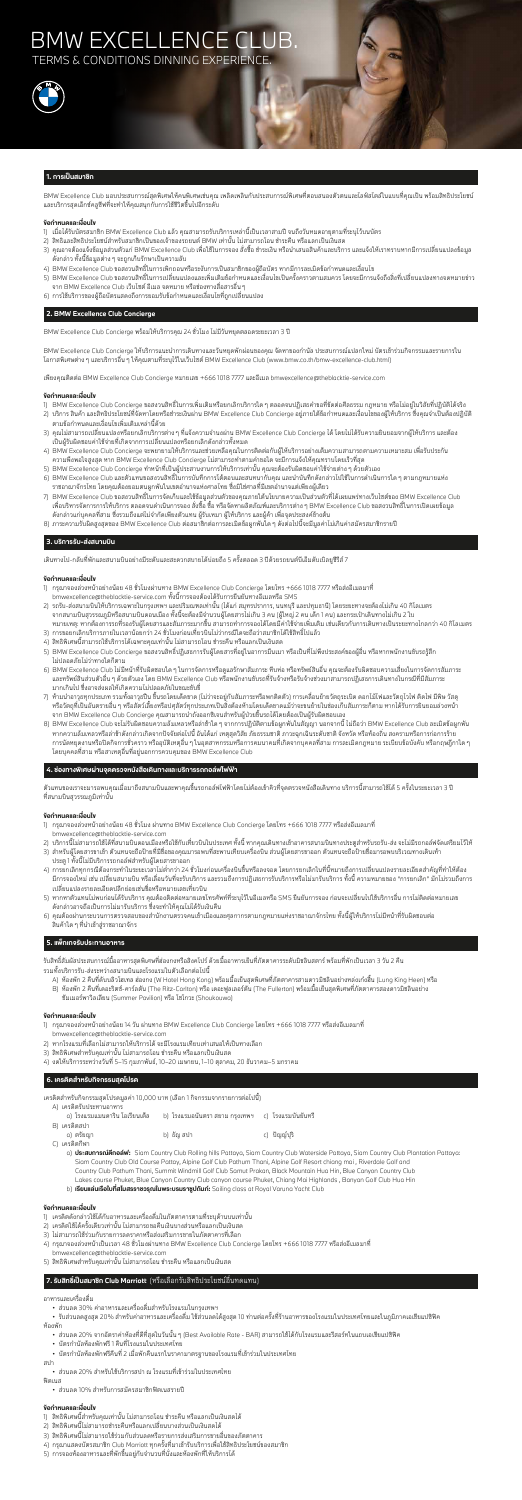## BMW EXCELLENCE CL **TERMS & CONDITIONS DINNING EXPERIENC**



### **1. การเปนสมาชิก**

BMW Excellence Club มอบประสบการณสุดพิเศษใหคนพิเศษเชนคุณ เพลิดเพลินกับประสบการณพิเศษที่ตอบสนองตัวตนและไลฟสไตลในแบบที่คุณเปน พรอมสิทธิประโยชน และบริการสุดเอ็กซคลูซีฟที่จะทำใหคุณสนุกกับการใชชีวิตขึ้นไปอีกระดับ

### **ขอกำหนดและเงื่อนไข**

- 1) เมื่อได้รับบัตรสมาชิก BMW Excellence Club แล้ว คุณสามารถรับบริการเหล่านี้เป็นเวลาสามปี จนถึงวันหมดอายุตามที่ระบุไว้บนบัตร
- 2) สิทธิและสิทธิประโยชนสำหรับสมาชิกเปนของเจาของรถยนต BMW เทานั้น ไมสามารถโอน ชำระคืน หรือแลกเปนเงินสด
- 3) คุณอาจต้องแจ้งข้อมูลส่วนตัวแก่ BMW Excellence Club เพื่อใช้ในการจอง สั่งซื้อ ชำระเงิน หรือนำเสนอสินค้าและบริการ และแจ้งให้เราทราบหากมีการเปลี่ยนแปลงข้อมูล ดังกลาว ทั้งนี้ขอมูลตางๆ จะถูกเก็บรักษาเปนความลับ
- 4) BMW Excellence Club ขอสงวนสิทธิ์ในการเพิกถอนหรือระงับการเปนสมาชิกของผูถือบัตร หากมีการละเมิดขอกำหนดและเงื่อนไข
- 5) BMW Excellence Club ขอสงวนสิทธิ์ในการเปลี่ยนแปลงและเพิ่มเติมข้อกำหนดและเงื่อนไขเป็นครั้งคราวตามสมควร โดยจะมีการแจ้งถึงสิ่งที่เปลี่ยนแปลงทางจดหมายข่าว จาก BMW Excellence Club เว็บไซต อีเมล จดหมาย หรือชองทางสื่อสารอื่นๆ
- 6) การใชบริการของผูถือบัตรแสดงถึงการยอมรับขอกำหนดและเงื่อนไขที่ถูกเปลี่ยนแปลง

BMW Excellence Club Concierge ให้บริการแนะนำการเดินทางและวันหยุดพักผ่อนของคณ จัดหาของกำนัล ประสบการณ์แปลกใหม่ บัตรเข้าร่วมกิจกรรมและรายการใน โอกาสพิเศษตางๆ และบริการอื่นๆ ใหคุณตามที่ระบุไวในเว็บไซต BMW Excellence Club (www.bmw.co.th/bmw-excellence-club.html)

## **2. BMW Excellence Club Concierge**

BMW Excellence Club Concierge พรอมใหบริการคุณ 24 ชั่วโมง ไมมีวันหยุดตลอดระยะเวลา 3 ป

เพียงคุณติดตอ BMW Excellence Club Concierge หมายเลข +666 1018 7777 และอีเมล bmwexcellence@theblacktie-service.com

#### **ขอกำหนดและเงื่อนไข**

- 1) BMW Excellence Club Concierge ขอสงวนสิทธิ์ในการเพิ่มเติมหรือยกเลิกบริการใดๆ ตลอดจนปฏิเสธคำขอที่ขัดตอศีลธรรม กฎหมาย หรือไมอยูในวิสัยที่ปฏิบัติไดจริง
- 2) บริการ สินค้า และสิทธิประโยชน์ที่จัดหาโดยหรือชำระเงินผ่าน BMW Excellence Club Concierge อยู่ภายใต้ข้อกำหนดและเงื่อนไขของผู้ให้บริการ ซึ่งคุณจำเป็นต้องปฏิบัติ ตามขอกำหนดและเงื่อนไขเพิ่มเติมเหลานี้ดวย
- 3) คุณไม่สามารถเปลี่ยนแปลงหรือยกเลิกบริการต่าง ๆ ที่แจ้งความจำนงผ่าน BMW Excellence Club Concierge ได้ โดยไม่ได้รับความยินยอมจากผู้ให้บริการ และต้อง เปนผูรับผิดชอบคาใชจายที่เกิดจากการเปลี่ยนแปลงหรือยกเลิกดังกลาวทั้งหมด
- 4) BMW Excellence Club Concierge จะพยายามใหบริการและชวยเหลือคุณในการติดตอกับผูใหบริการอยางเต็มความสามารถตามความเหมาะสม เพื่อรับประกัน ความพึงพอใจสูงสุด หาก BMW Excellence Club Concierge ไมสามารถทำตามคำขอใด จะมีการแจงใหคุณทราบโดยเร็วที่สุด
- 5) BMW Excellence Club Concierge ทำหน้าที่เป็นผู้ประสานงานการให้บริการเท่านั้น คุณจะต้องรับผิดชอบค่าใช้จ่ายต่าง ๆ ด้วยตัวเอง
- 6) BMW Excellence Club และตัวแทนขอสงวนสิทธิ์ในการบันทึกการโตตอบและสนทนากับคุณ และนำบันทึกดังกลาวไปใชในการดำเนินการใดๆ ตามกฎหมายแหง ราชอาณาจักรไทย โดยคุณต้องยอมตนผูกพันในเขตอำนาจแห่งศาลไทย ซึ่งมิใช่ศาลที่มีเขตอำนาจแต่เพียงผู้เดียว
- 7) BMW Excellence Club ขอสงวนสิทธิ์ในการจัดเก็บและใช้ข้อมูลส่วนตัวของคุณภายใต้นโยบายความเป็นส่วนตัวที่ได้เผยแพร่ทางเว็บไซต์ของ BMW Excellence Club เพื่อบริหารจัดการการใหบริการ ตลอดจนดำเนินการจอง สั่งซื้อ ซื้อ หรือจัดหาผลิตภัณฑและบริการตางๆ BMW Excellence Club ขอสงวนสิทธิ์ในการเปดเผยขอมูล ้ดังกล่าวแก่บุคคลที่สาม ซึ่งรวมถึงแต่ไม่จำกัดเพียงตัวแทน ผู้รับเหมา ผู้ให้บริการ และผู้ค้า เพื่อจุดประสงค์ข้างต้น
- 8) ภาระความรับผิดสูงสุดของ BMW Excellence Club ตอสมาชิกตอการละเมิดขอผูกพันใดๆ ดังตอไปนี้จะมีมูลคาไมเกินคาสมัครสมาชิกรายป

วแทนของเราจะมารอพบคุณเมื่อมาถึงสนามบินและพาคุณขึ้นรถกอล์ฟไฟฟ้าโดยไม่ต้องเข้าคิวที่จุดตรวจหนังสือเดินทาง บริการนี้สามารถใช้ได้ 5 ครั้งในระย<br>-ที่สนามบินสุวรรณภูมิเทานั้น

- 1) กรุณาจองลวงหนาอยางนอย 48 ชั่วโมง ผานทาง BMW Excellence Club Concierge โดยโทร +666 1018 7777 หรือสงอีเมลมาที่ bmwexcellence@theblacktie-service.com
- 2) บริการนี้ไม่สามารถใช้ได้ที่สนามบินดอนเมืองหรือใช้กับเที่ยวบินในประเทศ ทั้งนี้ หากคุณเดินทางเข้าอาคารสนามบินทางประตูสำหรับรถรับ-ส่ง จะไม่มีรถกอล์ฟจัดเตรียมไว้ให้
- 3) สำหรับผู้โดยสารขาเข้า ตัวแทนจะถือป้ายที่มีชื่อของคุณมารอพบที่สะพานเทียบเครื่องบิน ส่วนผู้โดยสารขาออก ตัวแทนจะถือป้ายชื่อมารอพบบริเวณทางเดินเท้า ประตู 1 ทั้งนี้ไมมีบริการรถกอลฟสำหรับผูโดยสารขาออก
- 4) การยกเลิกทุกกรณีต้องกระทำในระยะเวลาไม่ต่ำกว่า 24 ชั่วโมงก่อนเครื่องบินขึ้นหรือลงจอด โดยการยกเลิกในที่นี้หมายถึงการเปลี่ยนแปลงรายละเอียดสำคัญที่ทำให้ต้อง มีการจองใหม่ เช่น เปลี่ยนสนามบิน หรือเลื่อนวันที่จะรับบริการ และรวมถึงการปฏิเสธการรับบริการทั้งบริการ ทั้งนี้ ความหมายของ "การยกเลิก" มักไม่รวมถึงการ เปลี่ยนแปลงรายละเอียดปลีกยอยเชนชื่อหรือหมายเลขเที่ยวบิน
- 5) หากหาตัวแทนไม่พบก่อนได้รับบริการ คุณต้องติดต่อหมายเลขโทรศัพท์ที่ระบุไว้ในอีเมลหรือ SMS ยืนยันการจอง ก่อนจะเปลี่ยนไปใช้บริการอื่น การไม่ติดต่อหมายเลข ดังกลาวอาจถือเปนการไมมารับบริการ ซึ่งจะทำใหคุณไมไดรับเงินคืน
- 6) คุณตองผานกระบวนการตรวจสอบของสำนักงานตรวจคนเขาเมืองและศุลกากรตามกฎหมายแหงราชอาณาจักรไทย ทั้งนี้ผูใหบริการไมมีหนาที่รับผิดชอบตอ ้สินค้าใด ๆ ที่นำเข้าสู่ราชอาณาจักร

## **3. บริการรับ-สงสนามบิน**

เดินทางไป-กลับที่พักและสนามบินอย่างมีระดับและสะดวกสบายได้บ่อยถึง 5 ครั้งตลอด 3 ปีด้วยรถยนต์บีเอ็มดับเบิลยูซีรีส์ 7

#### **ขอกำหนดและเงื่อนไข**

- 1) กรุณาจองลวงหนาอยางนอย 48 ชั่วโมงผานทาง BMW Excellence Club Concierge โดยโทร +666 1018 7777 หรือสงอีเมลมาที่ bmwexcellence@theblacktie-service.com ทั้งนี้การจองตองไดรับการยืนยันทางอีเมลหรือ SMS
- 2) รถรับ-สงสนามบินใหบริการเฉพาะในกรุงเทพฯ และปริมณฑลเทานั้น (ไดแก สมุทรปราการ, นนทบุรี และปทุมธานี) โดยระยะทางจะตองไมเกิน 40 กิโลเมตร จากสนามบินสุวรรณภูมิหรือสนามบินดอนเมือง ทั้งนี้จะตองมีจำนวนผูโดยสารไมเกิน 3 คน (ผูใหญ 2 คน เด็ก 1 คน) และกระเปาเดินทางไมเกิน 2 ใบ หมายเหตุ: หากต้องการรถที่รองรับผู้โดยสารและสัมภาระมากขึ้น สามารถทำการจองได้โดยมีค่าใช้จ่ายเพิ่มเติม เช่นเดียวกับการเดินทางเป็นระยะทางไกลกว่า 40 กิโลเมตร
- 3) การขอยกเลิกบริการภายในเวลาน้อยกว่า 24 ชั่วโมงก่อนเที่ยวบินไม่ว่ากรณีใดจะถือว่าสมาชิกได้ใช้สิทธิ์ไปแล้ว
- 4) สิทธิพิเศษนี้สามารถใชบริการไดเฉพาะคุณเทานั้น ไมสามารถโอน ชำระคืน หรือแลกเปนเงินสด
- 5) BMW Excellence Club Concierge ขอสงวนสิทธิ์ปฏิเสธการรับผู้โดยสารที่อยู่ในอาการมึนเมา หรือเป็นที่ไม่พึงประสงค์ของผู้อื่น หรือหากพนักงานขับรถรู้สึก ไมปลอดภัยไมวาทางใดก็ตาม
- 6) BMW Excellence Club ไมมีหนาที่รับผิดชอบใดๆ ในการจัดการหรือดูแลรักษาสัมภาระ หีบหอ หรือทรัพยสินอื่น คุณจะตองรับผิดชอบความเสี่ยงในการจัดการสัมภาระ และทรัพย์สินส่วนตัวอื่น ๆ ด้วยตัวเอง โดย BMW Excellence Club หรือพนักงานขับรถที่รับจ้างหรือรับจ้างช่วงมาสามารถปฏิเสธการเดินทางในกรณีที่มีสัมภาระ มากเกินไป ซึ่งอาจสงผลใหเกิดความไมปลอดภัยในขณะขับขี่
- 7) ห้ามนำอาวุธทุกประเภท รวมทั้งอาวุธปืน ขึ้นรถโดยเด็ดขาด (ไม่ว่าจะอยู่กับสัมภาระหรือพกติดตัว) การเคลื่อนย้ายวัตถุระเบิด ดอกไม้ไฟและวัตถุไวไฟ ติดไฟ มีพิษ วัสดุ หรือวัตถุที่เป็นอันตรายอื่น ๆ หรือสัตว์เลี้ยงหรือปศุสัตว์ทุกประเภทเป็นสิ่งต้องห้ามโดยเด็ดขาดแม้ว่าจะขนย้ายในช่องเก็บสัมภาระก็ตาม หากได้รับการยินยอมล่วงหน้า จาก BMW Excellence Club Concierge คุณสามารถนำถังออกซิเจนสำหรับผูปวยขึ้นรถไดโดยตองเปนผูรับผิดชอบเอง
- 8) BMW Excellence Club จะไมรับผิดชอบความลมเหลวหรือลาชาใดๆ จากการปฏิบัติตามขอผูกพันในสัญญา นอกจากนี้ ไมถือวา BMW Excellence Club ละเมิดขอผูกพัน หากความล้มเหลวหรือล่าช้าดังกล่าวเกิดจากปัจจัยต่อไปนี้ อันได้แก่ เหตุสุดวิสัย ภัยธรรมชาติ ภาวะฉุกเฉินระดับชาติ จังหวัด หรือท้องถิ่น สงครามหรือการก่อการร้าย การนัดหยุดงานหรือปดกิจการชั่วคราว หรืออุบัติเหตุอื่นๆ ในอุตสาหกรรมหรือการคมนาคมที่เกิดจากบุคคลที่สาม การละเมิดกฎหมาย ระเบียบขอบังคับ หรือกฤษฎีกาใดๆ โดยบุคคลที่สาม หรือสาเหตุอื่นที่อยูนอกการควบคุมของ BMW Excellence Club

## **4. ชองทางพิเศษผานจุดตรวจหนังสือเดินทางและบริการรถกอลฟไฟฟา**

## **ขอกำหนดและเงื่อนไข**

## **5. แพ็กเกจรับประทานอาหาร**

รับสิทธิ์สัมผัสประสบการณมื้ออาหารสุดพิเศษที่ฮองกงหรือสิงคโปร ดวยมื้ออาหารเย็นที่ภัตตาคารระดับมิชลินสตาร พรอมที่พักเปนเวลา 3 วัน 2 คืน รวมทั้งบริการรับ-สงระหวางสนามบินและโรงแรมในตัวเลือกตอไปนี้

- A) หองพัก 2 คืนที่ดับบลิวโฮเทล ฮองกง (W Hotel Hong Kong) พรอมมื้อเย็นสุดพิเศษที่ภัตตาคารสามดาวมิชลินอยางหลงเกงฮี้น (Lung King Heen) หรือ
- B) หองพัก 2 คืนที่เดอะริตซ-คารลตัน (The Ritz-Carlton) หรือ เดอะฟูลเลอรตัน (The Fullerton) พรอมมื้อเย็นสุดพิเศษที่ภัตตาคารสองดาวมิชลินอยาง ซัมเมอรพาวิลเลียน (Summer Pavilion) หรือ โชโกวะ (Shoukouwa)

## **ขอกำหนดและเงื่อนไข**

- 1) กรุณาจองลวงหนาอยางนอย 14 วัน ผานทาง BMW Excellence Club Concierge โดยโทร +666 1018 7777 หรือสงอีเมลมาที่ bmwexcellence@theblacktie-service.com
- 2) หากโรงแรมที่เลือกไม่สามารถให้บริการได้ จะมีโรงแรมเทียบเท่าเสนอให้เป็นทางเลือก
- 3) สิทธิพิเศษสำหรับคุณเทานั้น ไมสามารถโอน ชำระคืน หรือแลกเปนเงินสด
- 4) งดใหบริการระหวางวันที่ 5–15 กุมภาพันธ, 10–20 เมษายน, 1–10 ตุลาคม, 20 ธันวาคม–5 มกราคม

## **6. เครดิตสำหรับกิจกรรมสุดโปรด**

เครดิตสำหรับกิจกรรมสุดโปรดมูลคา 10,000 บาท (เลือก 1 กิจกรรมจากรายการตอไปนี้)

A) เครดิตรับประทานอาหาร

| ิ a) โรงแรมแมนดาริน โอเรียนเต็ล      b) โรงแรมอนันตรา สยาม กรุงเทพฯ     c)  โรงแรมบันยันทรี |            |             |
|---------------------------------------------------------------------------------------------|------------|-------------|
| B) เครดิตสปา                                                                                |            |             |
| a) ตรัยฌา                                                                                   | b) ธัญ สปา | c) ปัญญ์ปริ |

C) เครดิตกีฬา

 a) **ประสบการณตีกอลฟ:** Siam Country Club Rolling hills Pattaya, Siam Country Club Waterside Pattaya, Siam Country Club Plantation Pattaya: Siam Country Club Old Course Pattay, Alpine Golf Club Pathum Thani, Alpine Golf Resort chiang mai , Riverdale Golf and Country Club Pathum Thani, Summit Windmill Golf Club Samut Prakan, Black Mountain Hua Hin, Blue Canyon Country Club Lakes course Phuket, Blue Canyon Country Club canyon course Phuket, Chiang Mai Highlands , Banyan Golf Club Hua Hin

b) **เรียนแลนเรือใบที่สโมสรราชวรุณในพระบรมราชูปถัมภ:** Sailing class at Royal Varuna Yacht Club

## **ขอกำหนดและเงื่อนไข**

- 1) เครดิตดังกลาวใชไดกับอาหารและเครื่องดื่มในภัตตาคารตามที่ระบุดานบนเทานั้น
- 2) เครดิตใชไดครั้งเดียวเทานั้น ไมสามารถขอคืนเงินบางสวนหรือแลกเปนเงินสด
- 3) ไม่สามารถใช้ร่วมกับรายการลดราคาหรือส่งเสริมการขายในภัตตาคารที่เลือก
- $4$ ) กรุณาจองล่วงหน้าเป็นเวลา  $48$  ชั่วโมงผ่านทาง BMW Excellence Club Concierge โดยโทร +666 1018 7777 หรือส่งอีเมลมาที่ bmwexcellence@theblacktie-service.com
- 5) สิทธิพิเศษสำหรับคุณเทานั้น ไมสามารถโอน ชำระคืน หรือแลกเปนเงินสด

## **7. รับสิทธิ์เปนสมาชิก Club Marriott** (หรือเลือกรับสิทธิประโยชนอื่นทดแทน)

อาหารและเครื่องดื่ม

• สวนลด 30% คาอาหารและเครื่องดื่มสำหรับโรงแรมในกรุงเทพฯ

 • รับสวนลดสูงสุด 20% สําหรับคาอาหารและเครื่องดื่ม ใชสวนลดไดสูงสุด 10 ทานตอครั้งที่รานอาหารของโรงแรมในประเทศไทยและในภูมิภาคเอเชียแปซิฟค หองพัก

- สวนลด 20% จากอัตราคาหองที่ดีที่สุดในวันนั้นๆ (Best Available Rate BAR) สามารถใชไดกับโรงแรมและรีสอรทในแถบเอเชียแปซิฟค
- บัตรกำนัลหองพักฟรี 1 คืนที่โรงแรมในประเทศไทย
- บัตรกำนัลหองพักฟรีคืนที่ 2 เมื่อพักคืนแรกในราคามาตรฐานของโรงแรมที่เขารวมในประเทศไทย

สปา

• สวนลด 20% สำหรับใชบริการสปา ณ โรงแรมที่เขารวมในประเทศไทย

ฟตเนส

• สวนลด 10% สำหรับการสมัครสมาชิกฟตเนสรายป

- 1) สิทธิพิเศษนี้สำหรับคุณเทานั้น ไมสามารถโอน ชำระคืน หรือแลกเปนเงินสดได
- 2) สิทธิพิเศษนี้ไมสามารถชำระคืนหรือแลกเปลี่ยนบางสวนเปนเงินสดได
- 3) สิทธิพิเศษนี้ไม่สามารถใช้ร่วมกับส่วนลดหรือรายการส่งเสริมการขายอื่นของภัตตาคาร
- 4) กรุณาแสดงบัตรสมาชิก Club Marriott ทุกครั้งที่มาเข้ารับบริการเพื่อใช้สิทธิประโยชน์ของสมาชิก
- 5) การจองหองอาหารและที่พักขึ้นอยูกับจำนวนที่นั่งและหองพักที่ใหบริการได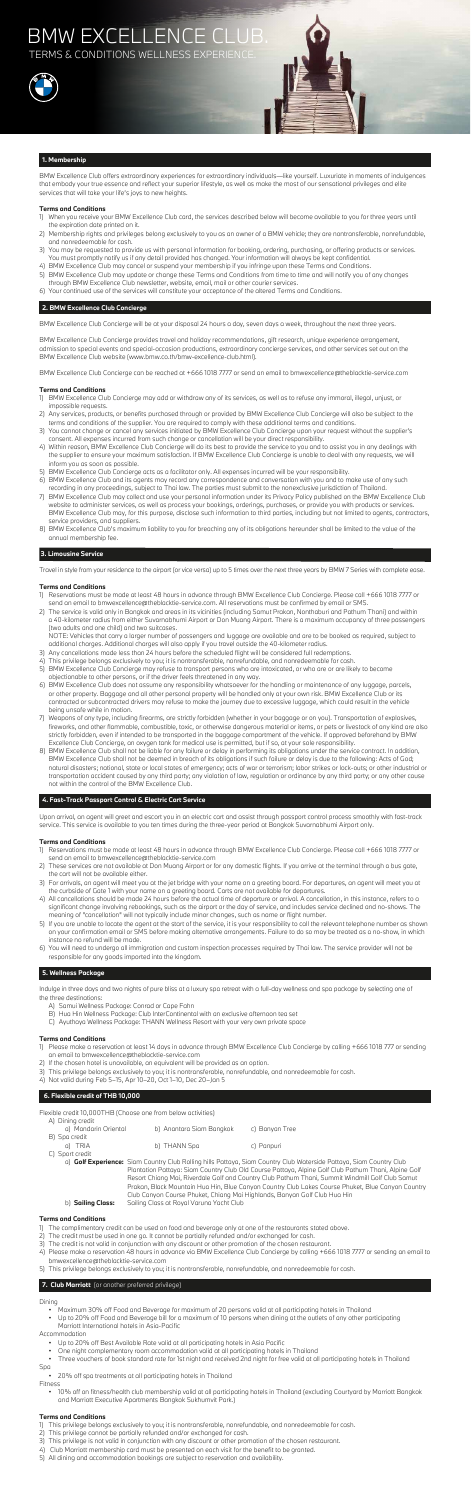## BMW EXCELLENCE CL **TERMS & CONDITIONS WELLNESS EXPERIENCE**





## **1. Membership**

BMW Excellence Club offers extraordinary experiences for extraordinary individuals—like yourself. Luxuriate in moments of indulgences that embody your true essence and reflect your superior lifestyle, as well as make the most of our sensational privileges and elite services that will take your life's joys to new heights.

## **Terms and Conditions**

- 1) When you receive your BMW Excellence Club card, the services described below will become available to you for three years until the expiration date printed on it.
- 2) Membership rights and privileges belong exclusively to you as an owner of a BMW vehicle; they are nontransferable, nonrefundable, and nonredeemable for cash.
- 3) You may be requested to provide us with personal information for booking, ordering, purchasing, or offering products or services. You must promptly notify us if any detail provided has changed. Your information will always be kept confidential.
- 4) BMW Excellence Club may cancel or suspend your membership if you infringe upon these Terms and Conditions.
- 5) BMW Excellence Club may update or change these Terms and Conditions from time to time and will notify you of any changes through BMW Excellence Club newsletter, website, email, mail or other courier services.
- 6) Your continued use of the services will constitute your acceptance of the altered Terms and Conditions.

## **2. BMW Excellence Club Concierge**

BMW Excellence Club Concierge will be at your disposal 24 hours a day, seven days a week, throughout the next three years.

BMW Excellence Club Concierge provides travel and holiday recommendations, gift research, unique experience arrangement, admission to special events and special-occasion productions, extraordinary concierge services, and other services set out on the BMW Excellence Club website (www.bmw.co.th/bmw-excellence-club.html).

BMW Excellence Club Concierge can be reached at +666 1018 7777 or send an email to bmwexcellence@theblacktie-service.com

## **Terms and Conditions**

- 1) BMW Excellence Club Concierge may add or withdraw any of its services, as well as to refuse any immoral, illegal, unjust, or impossible requests.
- 2) Any services, products, or benefits purchased through or provided by BMW Excellence Club Concierge will also be subject to the terms and conditions of the supplier. You are required to comply with these additional terms and conditions.
- 3) You cannot change or cancel any services initiated by BMW Excellence Club Concierge upon your request without the supplier's consent. All expenses incurred from such change or cancellation will be your direct responsibility.
- 4) Within reason, BMW Excellence Club Concierge will do its best to provide the service to you and to assist you in any dealings with the supplier to ensure your maximum satisfaction. If BMW Excellence Club Concierge is unable to deal with any requests, we will inform you as soon as possible.
- 5) BMW Excellence Club Concierge acts as a facilitator only. All expenses incurred will be your responsibility.
- 6) BMW Excellence Club and its agents may record any correspondence and conversation with you and to make use of any such recording in any proceedings, subject to Thai law. The parties must submit to the nonexclusive jurisdiction of Thailand.
- 7) BMW Excellence Club may collect and use your personal information under its Privacy Policy published on the BMW Excellence Club website to administer services, as well as process your bookings, orderings, purchases, or provide you with products or services. BMW Excellence Club may, for this purpose, disclose such information to third parties, including but not limited to agents, contractors, service providers, and suppliers.
- 8) BMW Excellence Club's maximum liability to you for breaching any of its obligations hereunder shall be limited to the value of the annual membership fee.

## **3. Limousine Service**

Travel in style from your residence to the airport (or vice versa) up to 5 times over the next three years by BMW 7 Series with complete ease.

## **Terms and Conditions**

- 1) Reservations must be made at least 48 hours in advance through BMW Excellence Club Concierge. Please call +666 1018 7777 or send an email to bmwexcellence@theblacktie-service.com. All reservations must be confirmed by email or SMS.
- 2) The service is valid only in Bangkok and areas in its vicinities (including Samut Prakan, Nonthaburi and Pathum Thani) and within a 40-kilometer radius from either Suvarnabhumi Airport or Don Muang Airport. There is a maximum occupancy of three passengers (two adults and one child) and two suitcases.

 NOTE: Vehicles that carry a larger number of passengers and luggage are available and are to be booked as required, subject to additional charges. Additional charges will also apply if you travel outside the 40-kilometer radius.

- 3) Any cancellations made less than 24 hours before the scheduled flight will be considered full redemptions.
- 4) This privilege belongs exclusively to you; it is nontransferable, nonrefundable, and nonredeemable for cash.
- 5) BMW Excellence Club Concierge may refuse to transport persons who are intoxicated, or who are or are likely to become objectionable to other persons, or if the driver feels threatened in any way.
- 6) BMW Excellence Club does not assume any responsibility whatsoever for the handling or maintenance of any luggage, parcels, or other property. Baggage and all other personal property will be handled only at your own risk. BMW Excellence Club or its contracted or subcontracted drivers may refuse to make the journey due to excessive luggage, which could result in the vehicle being unsafe while in motion. 7) Weapons of any type, including firearms, are strictly forbidden (whether in your baggage or on you). Transportation of explosives, fireworks, and other flammable, combustible, toxic, or otherwise dangerous material or items, or pets or livestock of any kind are also strictly forbidden, even if intended to be transported in the baggage compartment of the vehicle. If approved beforehand by BMW Excellence Club Concierge, an oxygen tank for medical use is permitted, but if so, at your sole responsibility. 8) BMW Excellence Club shall not be liable for any failure or delay in performing its obligations under the service contract. In addition, BMW Excellence Club shall not be deemed in breach of its obligations if such failure or delay is due to the following: Acts of God; natural disasters; national, state or local states of emergency; acts of war or terrorism; labor strikes or lock-outs; or other industrial or transportation accident caused by any third party; any violation of law, regulation or ordinance by any third party; or any other cause not within the control of the BMW Excellence Club.

## **4. Fast-Track Passport Control & Electric Cart Service**

Upon arrival, an agent will greet and escort you in an electric cart and assist through passport control process smoothly with fast-track service. This service is available to you ten times during the three-year period at Bangkok Suvarnabhumi Airport only.

## **Terms and Conditions**

- 1) Reservations must be made at least 48 hours in advance through BMW Excellence Club Concierge. Please call +666 1018 7777 or send an email to bmwexcellence@theblacktie-service.com
- 2) These services are not available at Don Muang Airport or for any domestic flights. If you arrive at the terminal through a bus gate, the cart will not be available either.
- 3) For arrivals, an agent will meet you at the jet bridge with your name on a greeting board. For departures, an agent will meet you at the curbside of Gate 1 with your name on a greeting board. Carts are not available for departures.
- 4) All cancellations should be made 24 hours before the actual time of departure or arrival. A cancellation, in this instance, refers to a significant change involving rebookings, such as the airport or the day of service, and includes service declined and no-shows. The meaning of "cancellation" will not typically include minor changes, such as name or flight number.
- 5) If you are unable to locate the agent at the start of the service, it is your responsibility to call the relevant telephone number as shown on your confirmation email or SMS before making alternative arrangements. Failure to do so may be treated as a no-show, in which instance no refund will be made.
- 6) You will need to undergo all immigration and custom inspection processes required by Thai law. The service provider will not be responsible for any goods imported into the kingdom.

## **5. Wellness Package**

Indulge in three days and two nights of pure bliss at a luxury spa retreat with a full-day wellness and spa package by selecting one of the three destinations:

- A) Samui Wellness Package: Conrad or Cape Fahn
- B) Hua Hin Wellness Package: Club InterContinental with an exclusive afternoon tea set
- C) Ayuthaya Wellness Package: THANN Wellness Resort with your very own private space

## **Terms and Conditions**

- 1) Please make a reservation at least 14 days in advance through BMW Excellence Club Concierge by calling +666 1018 777 or sending an email to bmwexcellence@theblacktie-service.com
- 2) If the chosen hotel is unavailable, an equivalent will be provided as an option.
- 3) This privilege belongs exclusively to you; it is nontransferable, nonrefundable, and nonredeemable for cash.
- 4) Not valid during Feb 5–15, Apr 10–20, Oct 1–10, Dec 20–Jan 5

## **6. Flexible credit of THB 10,000**

Flexible credit 10,000THB (Choose one from below activities)

| A) Dining credit     |                                     |                |
|----------------------|-------------------------------------|----------------|
| a) Mandarin Oriental | b) Anantara Siam Bangkok            | c) Banyan Tree |
| B) Spa credit        |                                     |                |
| a) TRIA              | b) THANN Spa                        | c) Panpuri     |
| C) Sport credit      |                                     |                |
|                      | the contract of the contract of the |                |

 a) **Golf Experience:** Siam Country Club Rolling hills Pattaya, Siam Country Club Waterside Pattaya, Siam Country Club Plantation Pattaya: Siam Country Club Old Course Pattaya, Alpine Golf Club Pathum Thani, Alpine Golf Resort Chiang Mai, Riverdale Golf and Country Club Pathum Thani, Summit Windmill Golf Club Samut Prakan, Black Mountain Hua Hin, Blue Canyon Country Club Lakes Course Phuket, Blue Canyon Country Club Canyon Course Phuket, Chiang Mai Highlands, Banyan Golf Club Hua Hin b) **Sailing Class:** Sailing Class at Royal Varuna Yacht Club

## **Terms and Conditions**

- 1) The complimentary credit can be used on food and beverage only at one of the restaurants stated above.
- 2) The credit must be used in one go. It cannot be partially refunded and/or exchanged for cash.
- 3) The credit is not valid in conjunction with any discount or other promotion of the chosen restaurant.
- 4) Please make a reservation 48 hours in advance via BMW Excellence Club Concierge by calling +666 1018 7777 or sending an email to bmwexcellence@theblacktie-service.com
- 5) This privilege belongs exclusively to you; it is nontransferable, nonrefundable, and nonredeemable for cash.

## **7. Club Marriott** (or another preferred privilege)

## Dining

- Maximum 30% off Food and Beverage for maximum of 20 persons valid at all participating hotels in Thailand
- Up to 20% off Food and Beverage bill for a maximum of 10 persons when dining at the outlets of any other participating Marriott International hotels in Asia-Pacific

Accommodation

- Up to 20% off Best Available Rate valid at all participating hotels in Asia Pacific
- One night complementary room accommodation valid at all participating hotels in Thailand
- Three vouchers of book standard rate for 1st night and received 2nd night for free valid at all participating hotels in Thailand
- Spa
- 20% off spa treatments at all participating hotels in Thailand
- Fitness • 10% off on fitness/health club membership valid at all participating hotels in Thailand (excluding Courtyard by Marriott Bangkok and Marriott Executive Apartments Bangkok Sukhumvit Park.)

## **Terms and Conditions**

1) This privilege belongs exclusively to you; it is nontransferable, nonrefundable, and nonredeemable for cash. 2) This privilege cannot be partially refunded and/or exchanged for cash. 3) This privilege is not valid in conjunction with any discount or other promotion of the chosen restaurant. 4) Club Marriott membership card must be presented on each visit for the benefit to be granted. 5) All dining and accommodation bookings are subject to reservation and availability.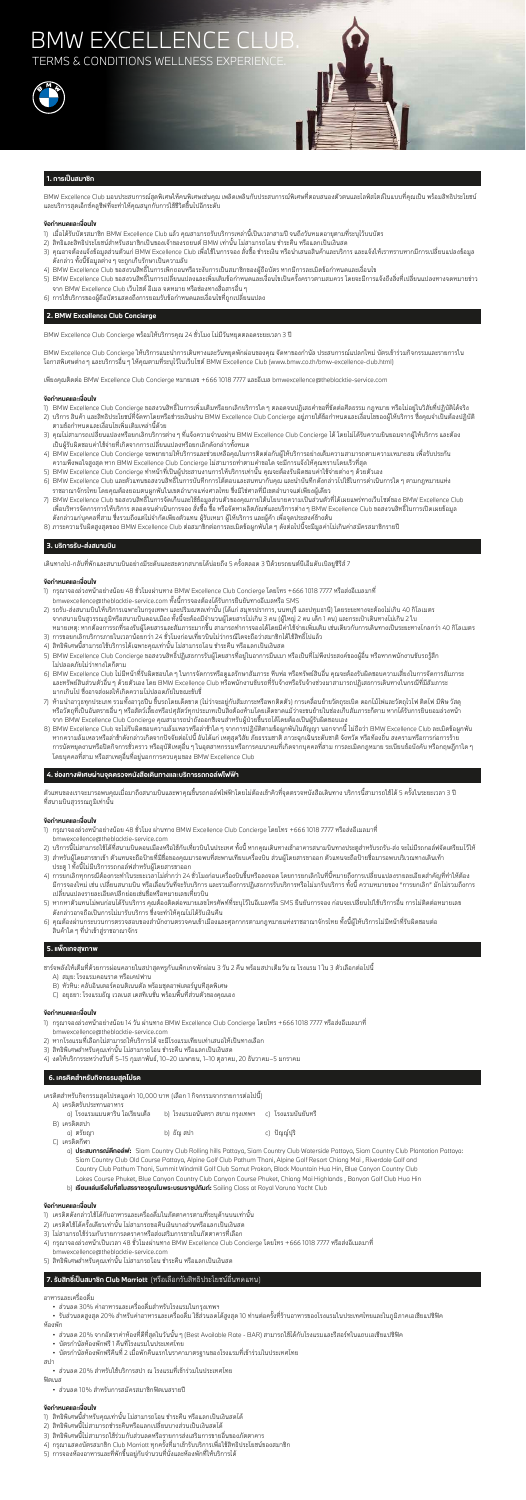## BMW EXCELLENCE C **TERMS & CONDITIONS WELLNESS EXPERIENC**





BMW Excellence Club มอบประสบการณสุดพิเศษใหคนพิเศษเชนคุณ เพลิดเพลินกับประสบการณพิเศษที่ตอบสนองตัวตนและไลฟสไตลในแบบที่คุณเปน พรอมสิทธิประโยชน และบริการสุดเอ็กซคลูซีฟที่จะทำใหคุณสนุกกับการใชชีวิตขึ้นไปอีกระดับ

### **ขอกำหนดและเงื่อนไข**

- 1) เมื่อได้รับบัตรสมาชิก BMW Excellence Club แล้ว คุณสามารถรับบริการเหล่านี้เป็นเวลาสามปี จนถึงวันหมดอายุตามที่ระบุไว้บนบัตร
- 2) สิทธิและสิทธิประโยชน์สำหรับสมาชิกเป็นของเจ้าของรถยนต์ BMW เท่านั้น ไม่สามารถโอน ชำระคืน หรือแลกเป็นเงินสด
- 3) คุณอาจต้องแจ้งข้อมูลส่วนตัวแก่ BMW Excellence Club เพื่อใช้ในการจอง สั่งซื้อ ชำระเงิน หรือนำเสนอสินค้าและบริการ และแจ้งให้เราทราบหากมีการเปลี่ยนแปลงข้อมูล ดังกลาว ทั้งนี้ขอมูลตางๆ จะถูกเก็บรักษาเปนความลับ
- 4) BMW Excellence Club ขอสงวนสิทธิ์ในการเพิกถอนหรือระงับการเปนสมาชิกของผูถือบัตร หากมีการละเมิดขอกำหนดและเงื่อนไข
- 5) BMW Excellence Club ขอสงวนสิทธิ์ในการเปลี่ยนแปลงและเพิ่มเติมข้อกำหนดและเงื่อนไขเป็นครั้งคราวตามสมควร โดยจะมีการแจ้งถึงสิ่งที่เปลี่ยนแปลงทางจดหมายข่าว จาก BMW Excellence Club เว็บไซต อีเมล จดหมาย หรือชองทางสื่อสารอื่นๆ
- 6) การใชบริการของผูถือบัตรแสดงถึงการยอมรับขอกำหนดและเงื่อนไขที่ถูกเปลี่ยนแปลง

#### **2. BMW Excellence Club Concierge**

BMW Excellence Club Concierge พรอมใหบริการคุณ 24 ชั่วโมง ไมมีวันหยุดตลอดระยะเวลา 3 ป

BMW Excellence Club Concierge ใหบริการแนะนำการเดินทางและวันหยุดพักผอนของคุณ จัดหาของกำนัล ประสบการณแปลกใหม บัตรเขารวมกิจกรรมและรายการใน โอกาสพิเศษตางๆ และบริการอื่นๆ ใหคุณตามที่ระบุไวในเว็บไซต BMW Excellence Club (www.bmw.co.th/bmw-excellence-club.html)

เพียงคุณติดตอ BMW Excellence Club Concierge หมายเลข +666 1018 7777 และอีเมล bmwexcellence@theblacktie-service.com

#### **ขอกำหนดและเงื่อนไข**

- 1) BMW Excellence Club Concierge ขอสงวนสิทธิ์ในการเพิ่มเติมหรือยกเลิกบริการใดๆ ตลอดจนปฏิเสธคำขอที่ขัดตอศีลธรรม กฎหมาย หรือไมอยูในวิสัยที่ปฏิบัติไดจริง
- 2) บริการ สินค้า และสิทธิประโยชน์ที่จัดหาโดยหรือชำระเงินผ่าน BMW Excellence Club Concierge อยู่ภายใต้ข้อกำหนดและเงื่อนไขของผู้ให้บริการ ซึ่งคุณจำเป็นต้องปฏิบัติ ตามขอกำหนดและเงื่อนไขเพิ่มเติมเหลานี้ดวย
- 3) คุณไม่สามารถเปลี่ยนแปลงหรือยกเลิกบริการต่าง ๆ ที่แจ้งความจำนงผ่าน BMW Excellence Club Concierge ได้ โดยไม่ได้รับความยินยอมจากผู้ให้บริการ และต้อง เปนผูรับผิดชอบคาใชจายที่เกิดจากการเปลี่ยนแปลงหรือยกเลิกดังกลาวทั้งหมด
- 4) BMW Excellence Club Concierge จะพยายามใหบริการและชวยเหลือคุณในการติดตอกับผูใหบริการอยางเต็มความสามารถตามความเหมาะสม เพื่อรับประกัน ความพึงพอใจสูงสุด หาก BMW Excellence Club Concierge ไมสามารถทำตามคำขอใด จะมีการแจงใหคุณทราบโดยเร็วที่สุด
- 5) BMW Excellence Club Concierge ทำหน้าที่เป็นผู้ประสานงานการให้บริการเท่านั้น คุณจะต้องรับผิดชอบค่าใช้จ่ายต่าง ๆ ด้วยตัวเอง
- 6) BMW Excellence Club และตัวแทนขอสงวนสิทธิ์ในการบันทึกการโตตอบและสนทนากับคุณ และนำบันทึกดังกลาวไปใชในการดำเนินการใดๆ ตามกฎหมายแหง ราชอาณาจักรไทย โดยคุณต้องยอมตนผูกพันในเขตอำนาจแห่งศาลไทย ซึ่งมิใช่ศาลที่มีเขตอำนาจแต่เพียงผู้เดียว
- 7) BMW Excellence Club ขอสงวนสิทธิ์ในการจัดเก็บและใช้ข้อมูลส่วนตัวของคุณภายใต้นโยบายความเป็นส่วนตัวที่ได้เผยแพร่ทางเว็บไซต์ของ BMW Excellence Club เพื่อบริหารจัดการการใหบริการ ตลอดจนดำเนินการจอง สั่งซื้อ ซื้อ หรือจัดหาผลิตภัณฑและบริการตางๆ BMW Excellence Club ขอสงวนสิทธิ์ในการเปดเผยขอมูล ้ดังกล่าวแก่บุคคลที่สาม ซึ่งรวมถึงแต่ไม่จำกัดเพียงตัวแทน ผู้รับเหมา ผู้ให้บริการ และผู้ค้า เพื่อจุดประสงค์ข้างต้น
- 8) ภาระความรับผิดสูงสุดของ BMW Excellence Club ตอสมาชิกตอการละเมิดขอผูกพันใดๆ ดังตอไปนี้จะมีมูลคาไมเกินคาสมัครสมาชิกรายป

วแทนของเราจะมารอพบคุณเมื่อมาถึงสนามบินและพาคุณขึ้นรถกอล์ฟไฟฟ้าโดยไม่ต้องเข้าคิวที่จุดตรวจหนังสือเดินทาง บริการนี้สามารถใช้ได้ 5 ครั้งในระย ที่สนามบินสุวรรณภูมิเทานั้น

- 1) กรุณาจองลวงหนาอยางนอย 48 ชั่วโมง ผานทาง BMW Excellence Club Concierge โดยโทร +666 1018 7777 หรือสงอีเมลมาที่ bmwexcellence@theblacktie-service.com
- 2) บริการนี้ไม่สามารถใช้ได้ที่สนามบินดอนเมืองหรือใช้กับเที่ยวบินในประเทศ ทั้งนี้ หากคุณเดินทางเข้าอาคารสนามบินทางประตูสำหรับรถรับ-ส่ง จะไม่มีรถกอล์ฟจัดเตรียมไว้ให้
- 3) สำหรับผู้โดยสารขาเข้า ตัวแทนจะถือป้ายที่มีชื่อของคุณมารอพบที่สะพานเทียบเครื่องบิน ส่วนผู้โดยสารขาออก ตัวแทนจะถือป้ายชื่อมารอพบบริเวณทางเดินเท้า ประตู 1 ทั้งนี้ไมมีบริการรถกอลฟสำหรับผูโดยสารขาออก
- 4) การยกเลิกทกกรณีต้องกระทำในระยะเวลาไม่ต่ำกว่า 24 ชั่วโมงก่อนเครื่องบินขึ้นหรือลงจอด โดยการยกเลิกในที่นี้หมายถึงการเปลี่ยนแปลงรายละเอียดสำคัญที่ทำให้ต้อง มีการจองใหม่ เช่น เปลี่ยนสนามบิน หรือเลื่อนวันที่จะรับบริการ และรวมถึงการปฏิเสธการรับบริการขั้นขี้ กรมหมาขิดง "การยกเลิก" มักไม่รวมถึงการ เปลี่ยนแปลงรายละเอียดปลีกยอยเชนชื่อหรือหมายเลขเที่ยวบิน
- 5) หากหาตัวแทนไม่พบก่อนได้รับบริการ คุณต้องติดต่อหมายเลขโทรศัพท์ที่ระบุไว้ในอีเมลหรือ SMS ยืนยันการจอง ก่อนจะเปลี่ยนไปใช้บริการอื่น การไม่ติดต่อหมายเลข ดังกลาวอาจถือเปนการไมมารับบริการ ซึ่งจะทำใหคุณไมไดรับเงินคืน
- 6) คุณตองผานกระบวนการตรวจสอบของสำนักงานตรวจคนเขาเมืองและศุลกากรตามกฎหมายแหงราชอาณาจักรไทย ทั้งนี้ผูใหบริการไมมีหนาที่รับผิดชอบตอ สินค้าใด ๆ ที่นำเข้าส่ราชอาณาจักร

### **3. บริการรับ-สงสนามบิน**

เดินทางไป-กลับที่พักและสนามบินอย่างมีระดับและสะดวกสบายได้บ่อยถึง 5 ครั้งตลอด 3 ปีด้วยรถยนต์บีเอ็มดับเบิลยูซีรีส์ 7

#### **ขอกำหนดและเงื่อนไข**

- 1) กรุณาจองลวงหนาอยางนอย 48 ชั่วโมงผานทาง BMW Excellence Club Concierge โดยโทร +666 1018 7777 หรือสงอีเมลมาที่ bmwexcellence@theblacktie-service.com ทั้งนี้การจองตองไดรับการยืนยันทางอีเมลหรือ SMS
- 2) รถรับ-สงสนามบินใหบริการเฉพาะในกรุงเทพฯ และปริมณฑลเทานั้น (ไดแก สมุทรปราการ, นนทบุรี และปทุมธานี) โดยระยะทางจะตองไมเกิน 40 กิโลเมตร จากสนามบินสุวรรณภูมิหรือสนามบินดอนเมือง ทั้งนี้จะตองมีจำนวนผูโดยสารไมเกิน 3 คน (ผูใหญ 2 คน เด็ก 1 คน) และกระเปาเดินทางไมเกิน 2 ใบ
- หมายเหตุ: หากต้องการรถที่รองรับผู้โดยสารและสัมภาระมากขึ้น สามารถทำการจองได้โดยมีค่าใช้จ่ายเพิ่มเติม เช่นเดียวกับการเดินทางเป็นระยะทางไกลกว่า 40 กิโลเมตร 3) การขอยกเลิกบริการภายในเวลาน้อยกว่า 24 ชั่วโมงก่อนเที่ยวบินไม่ว่ากรณีใดจะถือว่าสมาชิกได้ใช้สิทธิ์ไปแล้ว
- 4) สิทธิพิเศษนี้สามารถใชบริการไดเฉพาะคุณเทานั้น ไมสามารถโอน ชำระคืน หรือแลกเปนเงินสด
- 5) BMW Excellence Club Concierge ขอสงวนสิทธิ์ปฏิเสธการรับผู้โดยสารที่อยู่ในอาการมึนเมา หรือเป็นที่ไม่พึงประสงค์ของผู้อื่น หรือหากพนักงานขับรถรู้สึก ไมปลอดภัยไมวาทางใดก็ตาม
- 6) BMW Excellence Club ไมมีหนาที่รับผิดชอบใดๆ ในการจัดการหรือดูแลรักษาสัมภาระ หีบหอ หรือทรัพยสินอื่น คุณจะตองรับผิดชอบความเสี่ยงในการจัดการสัมภาระ และทรัพย์สินส่วนตัวอื่น ๆ ด้วยตัวเอง โดย BMW Excellence Club หรือพนักงานขับรถที่รับจ้างหรือรับจ้างช่วงมาสามารถปฏิเสธการเดินทางในกรณีที่มีสัมภาระ มากเกินไป ซึ่งอาจสงผลใหเกิดความไมปลอดภัยในขณะขับขี่
- 7) ห้ามนำอาวุธทุกประเภท รวมทั้งอาวุธปืน ขึ้นรถโดยเด็ดขาด (ไม่ว่าจะอยู่กับสัมภาระหรือพกติดตัว) การเคลื่อนย้ายวัตถุระเบิด ดอกไม้ไฟและวัตถุไวไฟ ติดไฟ มีพิษ วัสดุ หรือวัตถุที่เป็นอันตรายอื่น ๆ หรือสัตว์เลี้ยงหรือปศุสัตว์ทุกประเภทเป็นสิ่งต้องห้ามโดยเด็ดขาดแม้ว่าจะขนย้ายในช่องเก็บสัมภาระก็ตาม หากได้รับการยินยอมล่วงหน้า จาก BMW Excellence Club Concierge คุณสามารถนำถังออกซิเจนสำหรับผูปวยขึ้นรถไดโดยตองเปนผูรับผิดชอบเอง
- 8) BMW Excellence Club จะไมรับผิดชอบความลมเหลวหรือลาชาใดๆ จากการปฏิบัติตามขอผูกพันในสัญญา นอกจากนี้ ไมถือวา BMW Excellence Club ละเมิดขอผูกพัน หากความล้มเหลวหรือล่าช้าดังกล่าวเกิดจากปัจจัยต่อไปนี้ อันได้แก่ เหตุสุดวิสัย ภัยธรรมชาติ ภาวะฉุกเฉินระดับชาติ จังหวัด หรือท้องถิ่น สงครามหรือการก่อการร้าย การนัดหยุดงานหรือปดกิจการชั่วคราว หรืออุบัติเหตุอื่นๆ ในอุตสาหกรรมหรือการคมนาคมที่เกิดจากบุคคลที่สาม การละเมิดกฎหมาย ระเบียบขอบังคับ หรือกฤษฎีกาใดๆ โดยบุคคลที่สาม หรือสาเหตุอื่นที่อยูนอกการควบคุมของ BMW Excellence Club

## **4. ชองทางพิเศษผานจุดตรวจหนังสือเดินทางและบริการรถกอลฟไฟฟา**

## **ขอกำหนดและเงื่อนไข**

## **5. แพ็กเกจสุขภาพ**

- ชารจพลังใหเต็มที่ดวยการผอนคลายในสปาสุดหรูกับแพ็กเกจพักผอน 3 วัน 2 คืน พรอมสปาเต็มวัน ณ โรงแรม 1 ใน 3 ตัวเลือกตอไปนี้
	- A) สมุย: โรงแรมคอนราด หรือเคปฟาน
	- B) หัวหิน: คลับอินเตอรคอนติเนนตัล พรอมชุดอาฟเตอรนูนทีสุดพิเศษ
	- C) อยุธยา: โรงแรมธัญ เวลเนส เดสทิเนชั่น พรอมพื้นที่สวนตัวของคุณเอง

## **ขอกำหนดและเงื่อนไข**

- 1) กรุณาจองลวงหนาอยางนอย 14 วัน ผานทาง BMW Excellence Club Concierge โดยโทร +666 1018 7777 หรือสงอีเมลมาที่ bmwexcellence@theblacktie-service.com
- 2) หากโรงแรมที่เลือกไมสามารถใหบริการได จะมีโรงแรมเทียบเทาเสนอใหเปนทางเลือก
- 3) สิทธิพิเศษสำหรับคุณเทานั้น ไมสามารถโอน ชำระคืน หรือแลกเปนเงินสด
- 4) งดใหบริการระหวางวันที่ 5–15 กุมภาพันธ, 10–20 เมษายน, 1–10 ตุลาคม, 20 ธันวาคม–5 มกราคม

## **6. เครดิตสำหรับกิจกรรมสุดโปรด**

เครดิตสำหรับกิจกรรมสุดโปรดมูลคา 10,000 บาท (เลือก 1 กิจกรรมจากรายการตอไปนี้)

| A) เครดิตรับประทานอาหาร         |                                                        |             |
|---------------------------------|--------------------------------------------------------|-------------|
| ิ ด) โรงแรมแมนดาริน โอเรียนเต็ล | b) โรงแรมอนันตรา สยาม กรุงเทพฯ     c)  โรงแรมบันยันทรี |             |
| B) เครดิตสปา<br>a) ตรัยญา       | b) ธัญ สปา                                             | c) ปัญญ์ปริ |
| เครดิตกีฬา<br>C).               |                                                        |             |

- a) **ประสบการณตีกอลฟ:** Siam Country Club Rolling hills Pattaya, Siam Country Club Waterside Pattaya, Siam Country Club Plantation Pattaya: Siam Country Club Old Course Pattaya, Alpine Golf Club Pathum Thani, Alpine Golf Resort Chiang Mai , Riverdale Golf and Country Club Pathum Thani, Summit Windmill Golf Club Samut Prakan, Black Mountain Hua Hin, Blue Canyon Country Club Lakes Course Phuket, Blue Canyon Country Club Canyon Course Phuket, Chiang Mai Highlands , Banyan Golf Club Hua Hin
- b) **เรียนแลนเรือใบที่สโมสรราชวรุณในพระบรมราชูปถัมภ:** Sailing Class at Royal Varuna Yacht Club

### **ขอกำหนดและเงื่อนไข**

- 1) เครดิตดังกลาวใชไดกับอาหารและเครื่องดื่มในภัตตาคารตามที่ระบุดานบนเทานั้น
- 2) เครดิตใชไดครั้งเดียวเทานั้น ไมสามารถขอคืนเงินบางสวนหรือแลกเปนเงินสด
- 3) ไม่สามารถใช้ร่วมกับรายการลดราคาหรือส่งเสริมการขายในภัตตาคารที่เลือก
- 4) กรุณาจองลวงหนาเปนเวลา 48 ชั่วโมงผานทาง BMW Excellence Club Concierge โดยโทร +666 1018 7777 หรือสงอีเมลมาที่ bmwexcellence@theblacktie-service.com
- 5) สิทธิพิเศษสำหรับคุณเทานั้น ไมสามารถโอน ชำระคืน หรือแลกเปนเงินสด

## **7. รับสิทธิ์เปนสมาชิก Club Marriott** (หรือเลือกรับสิทธิประโยชนอื่นทดแทน)

อาหารและเครื่องดื่ม

• สวนลด 30% คาอาหารและเครื่องดื่มสำหรับโรงแรมในกรุงเทพฯ

 • รับสวนลดสูงสุด 20% สําหรับคาอาหารและเครื่องดื่ม ใชสวนลดไดสูงสุด 10 ทานตอครั้งที่รานอาหารของโรงแรมในประเทศไทยและในภูมิภาคเอเชียแปซิฟค หองพัก

- สวนลด 20% จากอัตราคาหองที่ดีที่สุดในวันนั้นๆ (Best Available Rate BAR) สามารถใชไดกับโรงแรมและรีสอรทในแถบเอเชียแปซิฟค
- บัตรกำนัลหองพักฟรี 1 คืนที่โรงแรมในประเทศไทย
- บัตรกำนัลหองพักฟรีคืนที่ 2 เมื่อพักคืนแรกในราคามาตรฐานของโรงแรมที่เขารวมในประเทศไทย

สปา

• สวนลด 20% สำหรับใชบริการสปา ณ โรงแรมที่เขารวมในประเทศไทย

ฟตเนส • สวนลด 10% สำหรับการสมัครสมาชิกฟตเนสรายป

- 1) สิทธิพิเศษนี้สำหรับคุณเทานั้น ไมสามารถโอน ชำระคืน หรือแลกเปนเงินสดได
- 2) สิทธิพิเศษนี้ไม่สามารถชำระคืนหรือแลกเปลี่ยนบางส่วนเป็นเงินสดได้
- 3) สิทธิพิเศษนี้ไม่สามารถใช้ร่วมกับส่วนลดหรือรายการส่งเสริมการขายอื่นของภัตตาคาร
- ้ 4) กรุณาแสดงบัตรสมาชิก Club Marriott ทุกครั้งที่มาเข้ารับบริการเพื่อใช้สิทธิประโยชน์ของสมาชิก
- 5) การจองหองอาหารและที่พักขึ้นอยูกับจำนวนที่นั่งและหองพักที่ใหบริการได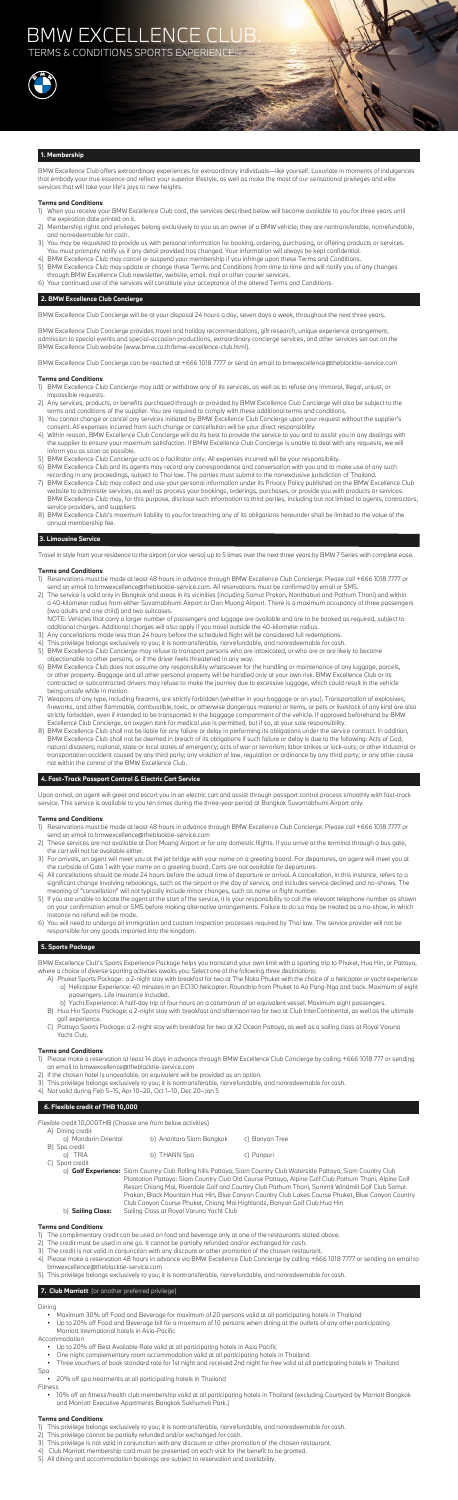BMW Excellence Club offers extraordinary experiences for extraordinary individuals—like yourself. Luxuriate in moments of indulgences that embody your true essence and reflect your superior lifestyle, as well as make the most of our sensational privileges and elite services that will take your life's joys to new heights.

## **Terms and Conditions**

- 1) When you receive your BMW Excellence Club card, the services described below will become available to you for three years until the expiration date printed on it.
- 2) Membership rights and privileges belong exclusively to you as an owner of a BMW vehicle; they are nontransferable, nonrefundable, and nonredeemable for cash.
- 3) You may be requested to provide us with personal information for booking, ordering, purchasing, or offering products or services. You must promptly notify us if any detail provided has changed. Your information will always be kept confidential.
- 4) BMW Excellence Club may cancel or suspend your membership if you infringe upon these Terms and Conditions.
- 5) BMW Excellence Club may update or change these Terms and Conditions from time to time and will notify you of any changes through BMW Excellence Club newsletter, website, email, mail or other courier services.
- 6) Your continued use of the services will constitute your acceptance of the altered Terms and Conditions.

## **2. BMW Excellence Club Concierge**

BMW Excellence Club Concierge will be at your disposal 24 hours a day, seven days a week, throughout the next three years.

BMW Excellence Club Concierge provides travel and holiday recommendations, gift research, unique experience arrangement, admission to special events and special-occasion productions, extraordinary concierge services, and other services set out on the BMW Excellence Club website (www.bmw.co.th/bmw-excellence-club.html).

BMW Excellence Club Concierge can be reached at +666 1018 7777 or send an email to bmwexcellence@theblacktie-service.com

## **Terms and Conditions**

- 1) BMW Excellence Club Concierge may add or withdraw any of its services, as well as to refuse any immoral, illegal, unjust, or impossible requests.
- 2) Any services, products, or benefits purchased through or provided by BMW Excellence Club Concierge will also be subject to the terms and conditions of the supplier. You are required to comply with these additional terms and conditions.
- 3) You cannot change or cancel any services initiated by BMW Excellence Club Concierge upon your request without the supplier's consent. All expenses incurred from such change or cancellation will be your direct responsibility.
- 4) Within reason, BMW Excellence Club Concierge will do its best to provide the service to you and to assist you in any dealings with the supplier to ensure your maximum satisfaction. If BMW Excellence Club Concierge is unable to deal with any requests, we will inform you as soon as possible.
- 5) BMW Excellence Club Concierge acts as a facilitator only. All expenses incurred will be your responsibility.
- 6) BMW Excellence Club and its agents may record any correspondence and conversation with you and to make use of any such recording in any proceedings, subject to Thai law. The parties must submit to the nonexclusive jurisdiction of Thailand.
- 7) BMW Excellence Club may collect and use your personal information under its Privacy Policy published on the BMW Excellence Club website to administer services, as well as process your bookings, orderings, purchases, or provide you with products or services. BMW Excellence Club may, for this purpose, disclose such information to third parties, including but not limited to agents, contractors, service providers, and suppliers.
- 8) BMW Excellence Club's maximum liability to you for breaching any of its obligations hereunder shall be limited to the value of the annual membership fee.

## **3. Limousine Service**

Travel in style from your residence to the airport (or vice versa) up to 5 times over the next three years by BMW 7 Series with complete ease.

## **Terms and Conditions**

- 1) Reservations must be made at least 48 hours in advance through BMW Excellence Club Concierge. Please call +666 1018 7777 or send an email to bmwexcellence@theblacktie-service.com. All reservations must be confirmed by email or SMS.
- 2) The service is valid only in Bangkok and areas in its vicinities (including Samut Prakan, Nonthaburi and Pathum Thani) and within a 40-kilometer radius from either Suvarnabhumi Airport or Don Muang Airport. There is a maximum occupancy of three passengers (two adults and one child) and two suitcases.

 NOTE: Vehicles that carry a larger number of passengers and luggage are available and are to be booked as required, subject to additional charges. Additional charges will also apply if you travel outside the 40-kilometer radius.

- 3) Any cancellations made less than 24 hours before the scheduled flight will be considered full redemptions.
- 4) This privilege belongs exclusively to you; it is nontransferable, nonrefundable, and nonredeemable for cash.
- 5) BMW Excellence Club Concierge may refuse to transport persons who are intoxicated, or who are or are likely to become objectionable to other persons, or if the driver feels threatened in any way.
- 6) BMW Excellence Club does not assume any responsibility whatsoever for the handling or maintenance of any luggage, parcels, or other property. Baggage and all other personal property will be handled only at your own risk. BMW Excellence Club or its contracted or subcontracted drivers may refuse to make the journey due to excessive luggage, which could result in the vehicle being unsafe while in motion. 7) Weapons of any type, including firearms, are strictly forbidden (whether in your baggage or on you). Transportation of explosives, fireworks, and other flammable, combustible, toxic, or otherwise dangerous material or items, or pets or livestock of any kind are also strictly forbidden, even if intended to be transported in the baggage compartment of the vehicle. If approved beforehand by BMW Excellence Club Concierge, an oxygen tank for medical use is permitted, but if so, at your sole responsibility. 8) BMW Excellence Club shall not be liable for any failure or delay in performing its obligations under the service contract. In addition, BMW Excellence Club shall not be deemed in breach of its obligations if such failure or delay is due to the following: Acts of God; natural disasters; national, state or local states of emergency; acts of war or terrorism; labor strikes or lock-outs; or other industrial or transportation accident caused by any third party; any violation of law, regulation or ordinance by any third party; or any other cause not within the control of the BMW Excellence Club.

## **4. Fast-Track Passport Control & Electric Cart Service**

Upon arrival, an agent will greet and escort you in an electric cart and assist through passport control process smoothly with fast-track service. This service is available to you ten times during the three-year period at Bangkok Suvarnabhumi Airport only.

## **Terms and Conditions**

- 1) Reservations must be made at least 48 hours in advance through BMW Excellence Club Concierge. Please call +666 1018 7777 or send an email to bmwexcellence@theblacktie-service.com
- 2) These services are not available at Don Muang Airport or for any domestic flights. If you arrive at the terminal through a bus gate, the cart will not be available either.
- 3) For arrivals, an agent will meet you at the jet bridge with your name on a greeting board. For departures, an agent will meet you at the curbside of Gate 1 with your name on a greeting board. Carts are not available for departures.
- 4) All cancellations should be made 24 hours before the actual time of departure or arrival. A cancellation, in this instance, refers to a significant change involving rebookings, such as the airport or the day of service, and includes service declined and no-shows. The meaning of "cancellation" will not typically include minor changes, such as name or flight number.
- 5) If you are unable to locate the agent at the start of the service, it is your responsibility to call the relevant telephone number as shown on your confirmation email or SMS before making alternative arrangements. Failure to do so may be treated as a no-show, in which instance no refund will be made.
- 6) You will need to undergo all immigration and custom inspection processes required by Thai law. The service provider will not be responsible for any goods imported into the kingdom.

## **5. Sports Package**

BMW Excellence Club's Sports Experience Package helps you transcend your own limit with a sporting trip to Phuket, Hua Hin, or Pattaya, where a choice of diverse sporting activities awaits you. Select one of the following three destinations:

- A) Phuket Sports Package: a 2-night stay with breakfast for two at The Naka Phuket with the choice of a helicopter or yacht experience: a) Helicopter Experience: 40 minutes in an EC130 helicopter. Roundtrip from Phuket to Ao Pang-Nga and back. Maximum of eight passengers. Life insurance included.
	- b) Yacht Experience: A half-day trip of four hours on a catamaran of an equivalent vessel. Maximum eight passengers.
- B) Hua Hin Sports Package: a 2-night stay with breakfast and afternoon tea for two at Club InterContinental, as well as the ultimate golf experience.
- C) Pattaya Sports Package: a 2-night stay with breakfast for two at X2 Ocean Pattaya, as well as a sailing class at Royal Varuna Yacht Club.

## **Terms and Conditions**

- 1) Please make a reservation at least 14 days in advance through BMW Excellence Club Concierge by calling +666 1018 777 or sending an email to bmwexcellence@theblacktie-service.com
- 2) If the chosen hotel is unavailable, an equivalent will be provided as an option.
- 3) This privilege belongs exclusively to you; it is nontransferable, nonrefundable, and nonredeemable for cash.
- 4) Not valid during Feb 5–15, Apr 10–20, Oct 1–10, Dec 20–Jan 5

## **6. Flexible credit of THB 10,000**

Flexible credit 10,000THB (Choose one from below activities)

| A) Dining credit     |                          |                |
|----------------------|--------------------------|----------------|
| a) Mandarin Oriental | b) Anantara Siam Bangkok | c) Banyan Tree |
| B) Spa credit        |                          |                |
| a) TRIA              | b) THANN Spa             | c) Panpuri     |
| C) Sport credit      |                          |                |

 a) **Golf Experience:** Siam Country Club Rolling hills Pattaya, Siam Country Club Waterside Pattaya, Siam Country Club Plantation Pattaya: Siam Country Club Old Course Pattaya, Alpine Golf Club Pathum Thani, Alpine Golf Resort Chiang Mai, Riverdale Golf and Country Club Pathum Thani, Summit Windmill Golf Club Samut Prakan, Black Mountain Hua Hin, Blue Canyon Country Club Lakes Course Phuket, Blue Canyon Country Club Canyon Course Phuket, Chiang Mai Highlands, Banyan Golf Club Hua Hin b) **Sailing Class:** Sailing Class at Royal Varuna Yacht Club

## **Terms and Conditions**

- 1) The complimentary credit can be used on food and beverage only at one of the restaurants stated above.
- 2) The credit must be used in one go. It cannot be partially refunded and/or exchanged for cash.
- 3) The credit is not valid in conjunction with any discount or other promotion of the chosen restaurant.
- 4) Please make a reservation 48 hours in advance via BMW Excellence Club Concierge by calling +666 1018 7777 or sending an email to bmwexcellence@theblacktie-service.com
- 5) This privilege belongs exclusively to you; it is nontransferable, nonrefundable, and nonredeemable for cash.

## **7. Club Marriott** (or another preferred privilege)

## Dining

- Maximum 30% off Food and Beverage for maximum of 20 persons valid at all participating hotels in Thailand
- Up to 20% off Food and Beverage bill for a maximum of 10 persons when dining at the outlets of any other participating Marriott International hotels in Asia-Pacific

## Accommodation

- Up to 20% off Best Available Rate valid at all participating hotels in Asia Pacific
- One night complementary room accommodation valid at all participating hotels in Thailand
- Three vouchers of book standard rate for 1st night and received 2nd night for free valid at all participating hotels in Thailand

Spa

• 20% off spa treatments at all participating hotels in Thailand

#### Fitness

 • 10% off on fitness/health club membership valid at all participating hotels in Thailand (excluding Courtyard by Marriott Bangkok and Marriott Executive Apartments Bangkok Sukhumvit Park.)

## **Terms and Conditions**

- 1) This privilege belongs exclusively to you; it is nontransferable, nonrefundable, and nonredeemable for cash.
- 2) This privilege cannot be partially refunded and/or exchanged for cash.
- 3) This privilege is not valid in conjunction with any discount or other promotion of the chosen restaurant.
- 4) Club Marriott membership card must be presented on each visit for the benefit to be granted.
- 5) All dining and accommodation bookings are subject to reservation and availability.

# BMW EXCELLENCE C

TERMS & CONDITIONS SPORTS EXPERIENCE.

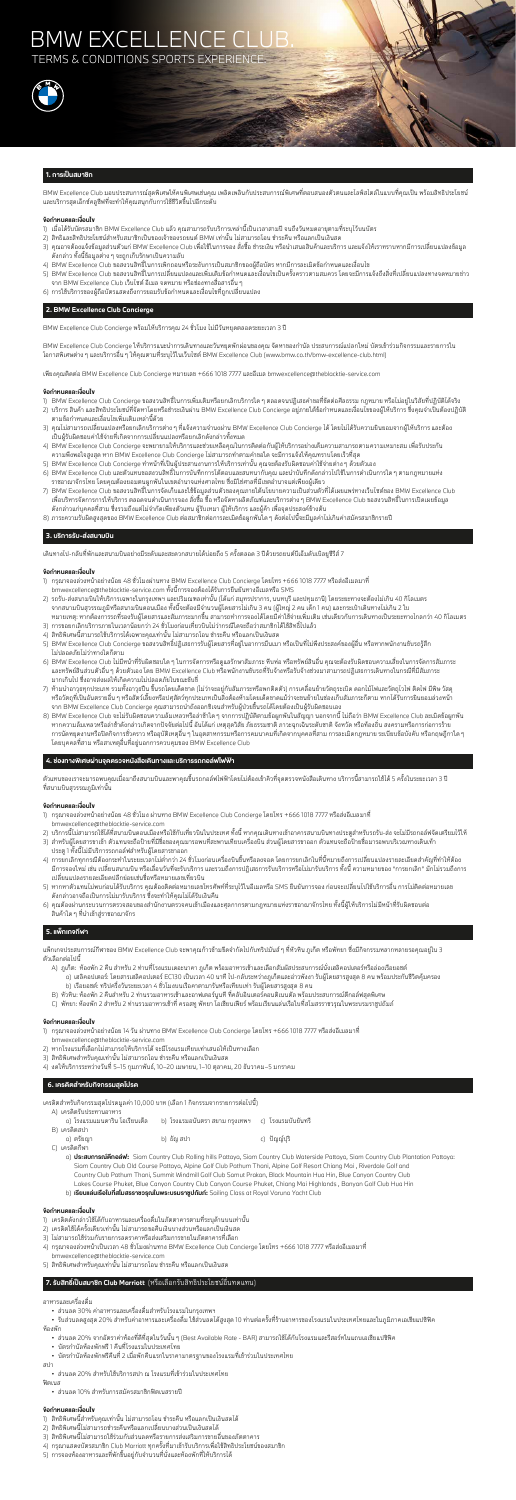# BMW EXCELLENCE C

**TERMS & CONDITIONS SPORTS EXPERIENCE** 



### **1. การเปนสมาชิก**

BMW Excellence Club มอบประสบการณสุดพิเศษใหคนพิเศษเชนคุณ เพลิดเพลินกับประสบการณพิเศษที่ตอบสนองตัวตนและไลฟสไตลในแบบที่คุณเปน พรอมสิทธิประโยชน และบริการสุดเอ็กซคลูซีฟที่จะทำใหคุณสนุกกับการใชชีวิตขึ้นไปอีกระดับ

### **ขอกำหนดและเงื่อนไข**

- 1) เมื่อได้รับบัตรสมาชิก BMW Excellence Club แล้ว คุณสามารถรับบริการเหล่านี้เป็นเวลาสามปี จนถึงวันหมดอายุตามที่ระบุไว้บนบัตร
- 2) สิทธิและสิทธิประโยชนสำหรับสมาชิกเปนของเจาของรถยนต BMW เทานั้น ไมสามารถโอน ชำระคืน หรือแลกเปนเงินสด
- 3) คุณอาจต้องแจ้งข้อมูลส่วนตัวแก่ BMW Excellence Club เพื่อใช้ในการจอง สั่งซื้อ ชำระเงิน หรือนำเสนอสินค้าและบริการ และแจ้งให้เราทราบหากมีการเปลี่ยนแปลงข้อมูล ดังกลาว ทั้งนี้ขอมูลตางๆ จะถูกเก็บรักษาเปนความลับ
- 4) BMW Excellence Club ขอสงวนสิทธิ์ในการเพิกถอนหรือระงับการเปนสมาชิกของผูถือบัตร หากมีการละเมิดขอกำหนดและเงื่อนไข
- 5) BMW Excellence Club ขอสงวนสิทธิ์ในการเปลี่ยนแปลงและเพิ่มเติมข้อกำหนดและเงื่อนไขเป็นครั้งคราวตามสมควร โดยจะมีการแจ้งถึงสิ่งที่เปลี่ยนแปลงทางจดหมายข่าว จาก BMW Excellence Club เว็บไซต อีเมล จดหมาย หรือชองทางสื่อสารอื่นๆ
- 6) การใชบริการของผูถือบัตรแสดงถึงการยอมรับขอกำหนดและเงื่อนไขที่ถูกเปลี่ยนแปลง

### **2. BMW Excellence Club Concierge**

BMW Excellence Club Concierge พรอมใหบริการคุณ 24 ชั่วโมง ไมมีวันหยุดตลอดระยะเวลา 3 ป

BMW Excellence Club Concierge ใหบริการแนะนำการเดินทางและวันหยุดพักผอนของคุณ จัดหาของกำนัล ประสบการณแปลกใหม บัตรเขารวมกิจกรรมและรายการใน โอกาสพิเศษตางๆ และบริการอื่นๆ ใหคุณตามที่ระบุไวในเว็บไซต BMW Excellence Club (www.bmw.co.th/bmw-excellence-club.html)

เพียงคุณติดตอ BMW Excellence Club Concierge หมายเลข +666 1018 7777 และอีเมล bmwexcellence@theblacktie-service.com

#### **ขอกำหนดและเงื่อนไข**

- 1) BMW Excellence Club Concierge ขอสงวนสิทธิ์ในการเพิ่มเติมหรือยกเลิกบริการใดๆ ตลอดจนปฏิเสธคำขอที่ขัดตอศีลธรรม กฎหมาย หรือไมอยูในวิสัยที่ปฏิบัติไดจริง
- 2) บริการ สินค้า และสิทธิประโยชน์ที่จัดหาโดยหรือชำระเงินผ่าน BMW Excellence Club Concierge อยู่ภายใต้ข้อกำหนดและเงื่อนไขของผู้ให้บริการ ซึ่งคุณจำเป็นต้องปฏิบัติ ตามขอกำหนดและเงื่อนไขเพิ่มเติมเหลานี้ดวย
- 3) คุณไม่สามารถเปลี่ยนแปลงหรือยกเลิกบริการต่าง ๆ ที่แจ้งความจำนงผ่าน BMW Excellence Club Concierge ได้ โดยไม่ได้รับความยินยอมจากผู้ให้บริการ และต้อง เปนผูรับผิดชอบคาใชจายที่เกิดจากการเปลี่ยนแปลงหรือยกเลิกดังกลาวทั้งหมด
- 4) BMW Excellence Club Concierge จะพยายามใหบริการและชวยเหลือคุณในการติดตอกับผูใหบริการอยางเต็มความสามารถตามความเหมาะสม เพื่อรับประกัน ความพึงพอใจสูงสุด หาก BMW Excellence Club Concierge ไมสามารถทำตามคำขอใด จะมีการแจงใหคุณทราบโดยเร็วที่สุด
- 5) BMW Excellence Club Concierge ทำหน้าที่เป็นผู้ประสานงานการให้บริการเท่านั้น คุณจะต้องรับผิดชอบค่าใช้จ่ายต่าง ๆ ด้วยตัวเอง
- 6) BMW Excellence Club และตัวแทนขอสงวนสิทธิ์ในการบันทึกการโตตอบและสนทนากับคุณ และนำบันทึกดังกลาวไปใชในการดำเนินการใดๆ ตามกฎหมายแหง ราชอาณาจักรไทย โดยคุณต้องยอมตนผูกพันในเขตอำนาจแห่งศาลไทย ซึ่งมิใช่ศาลที่มีเขตอำนาจแต่เพียงผู้เดียว
- 7) BMW Excellence Club ขอสงวนสิทธิ์ในการจัดเก็บและใช้ข้อมูลส่วนตัวของคุณภายใต้นโยบายความเป็นส่วนตัวที่ได้เผยแพร่ทางเว็บไซต์ของ BMW Excellence Club เพื่อบริหารจัดการการใหบริการ ตลอดจนดำเนินการจอง สั่งซื้อ ซื้อ หรือจัดหาผลิตภัณฑและบริการตางๆ BMW Excellence Club ขอสงวนสิทธิ์ในการเปดเผยขอมูล ดังกล่าวแก่บุคคลที่สาม ซึ่งรวมถึงแต่ไม่จำกัดเพียงตัวแทน ผู้รับเหมา ผู้ให้บริการ และผู้ค้า เพื่อจุดประสงค์ข้างต้น
- 8) ภาระความรับผิดสูงสุดของ BMW Excellence Club ตอสมาชิกตอการละเมิดขอผูกพันใดๆ ดังตอไปนี้จะมีมูลคาไมเกินคาสมัครสมาชิกรายป

- 1) กรุณาจองลวงหนาอยางนอย 48 ชั่วโมง ผานทาง BMW Excellence Club Concierge โดยโทร +666 1018 7777 หรือสงอีเมลมาที่ bmwexcellence@theblacktie-service.com
- 2) บริการนี้ไม่สามารถใช้ได้ที่สนามบินดอนเมืองหรือใช้กับเที่ยวบินในประเทศ ทั้งนี้ หากคุณเดินทางเข้าอาคารสนามบินทางประตูสำหรับรถรับ-ส่ง จะไม่มีรถกอล์ฟจัดเตรียมไว้ให้
- 3) สำหรับผู้โดยสารขาเข้า ตัวแทนจะถือป้ายที่มีชื่อของคุณมารอพบที่สะพานเทียบเครื่องบิน ส่วนผู้โดยสารขาออก ตัวแทนจะถือป้ายชื่อมารอพบบริเวณทางเดินเท้า ประตู 1 ทั้งนี้ไมมีบริการรถกอลฟสำหรับผูโดยสารขาออก
- 4) การยกเลิกทุกกรณีต้องกระทำในระยะเวลาไม่ต่ำกว่า 24 ชั่วโมงก่อนเครื่องบินขึ้นหรือลงจอด โดยการยกเลิกในที่นี้หมายถึงการเปลี่ยนแปลงรายละเอียดสำคัญที่ทำให้ต้อง มีการจองใหม่ เช่น เปลี่ยนสนามบิน หรือเลื่อนวันที่จะรับบริการ และรวมถึงการปฏิเสธการรับบริการทั้งบริการ ทั้งนี้ ความหมายของ "การยกเลิก" มักไม่รวมถึงการ เปลี่ยนแปลงรายละเอียดปลีกยอยเชนชื่อหรือหมายเลขเที่ยวบิน
- 5) หากหาตัวแทนไม่พบก่อนได้รับบริการ คุณต้องติดต่อหมายเลขโทรศัพท์ที่ระบุไว้ในอีเมลหรือ SMS ยืนยันการจอง ก่อนจะเปลี่ยนไปใช้บริการอื่น การไม่ติดต่อหมายเลข ดังกลาวอาจถือเปนการไมมารับบริการ ซึ่งจะทำใหคุณไมไดรับเงินคืน
- 6) คุณตองผานกระบวนการตรวจสอบของสำนักงานตรวจคนเขาเมืองและศุลกากรตามกฎหมายแหงราชอาณาจักรไทย ทั้งนี้ผูใหบริการไมมีหนาที่รับผิดชอบตอ ้สินค้าใด ๆ ที่นำเข้าสู่ราชอาณาจักร

## **3. บริการรับ-สงสนามบิน**

เดินทางไป-กลับที่พักและสนามบินอย่างมีระดับและสะดวกสบายได้บ่อยถึง 5 ครั้งตลอด 3 ปีด้วยรถยนต์บีเอ็มดับเบิลยูซีรีส์ 7

#### **ขอกำหนดและเงื่อนไข**

- 1) กรุณาจองลวงหนาอยางนอย 48 ชั่วโมงผานทาง BMW Excellence Club Concierge โดยโทร +666 1018 7777 หรือสงอีเมลมาที่ bmwexcellence@theblacktie-service.com ทั้งนี้การจองตองไดรับการยืนยันทางอีเมลหรือ SMS
- 2) รถรับ-สงสนามบินใหบริการเฉพาะในกรุงเทพฯ และปริมณฑลเทานั้น (ไดแก สมุทรปราการ, นนทบุรี และปทุมธานี) โดยระยะทางจะตองไมเกิน 40 กิโลเมตร จากสนามบินสุวรรณภูมิหรือสนามบินดอนเมือง ทั้งนี้จะตองมีจำนวนผูโดยสารไมเกิน 3 คน (ผูใหญ 2 คน เด็ก 1 คน) และกระเปาเดินทางไมเกิน 2 ใบ หมายเหตุ: หากต้องการรถที่รองรับผู้โดยสารและสัมภาระมากขึ้น สามารถทำการจองได้โดยมีค่าใช้จ่ายเพิ่มเติม เช่นเดียวกับการเดินทางเป็นระยะทางไกลกว่า 40 กิโลเมตร
- 3) การขอยกเลิกบริการภายในเวลาน้อยกว่า 24 ชั่วโมงก่อนเที่ยวบินไม่ว่ากรณีใดจะถือว่าสมาชิกได้ใช้สิทธิ์ไปแล้ว
- 4) สิทธิพิเศษนี้สามารถใชบริการไดเฉพาะคุณเทานั้น ไมสามารถโอน ชำระคืน หรือแลกเปนเงินสด
- 5) BMW Excellence Club Concierge ขอสงวนสิทธิ์ปฏิเสธการรับผู้โดยสารที่อยู่ในอาการมึนเมา หรือเป็นที่ไม่พึงประสงค์ของผู้อื่น หรือหากพนักงานขับรถรู้สึก ไมปลอดภัยไมวาทางใดก็ตาม
- 6) BMW Excellence Club ไมมีหนาที่รับผิดชอบใดๆ ในการจัดการหรือดูแลรักษาสัมภาระ หีบหอ หรือทรัพยสินอื่น คุณจะตองรับผิดชอบความเสี่ยงในการจัดการสัมภาระ ้ และทรัพย์สินส่วนตัวอื่น ๆ ด้วยตัวเอง โดย BMW Excellence Club หรือพนักงานขับรถที่รับจ้างหรือรับจ้างช่วงมาสามารถปฏิเสธการเดินทางในกรณีที่มีสัมภาระ มากเกินไป ซึ่งอาจสงผลใหเกิดความไมปลอดภัยในขณะขับขี่
- 7) ห้ามนำอาวุธทุกประเภท รวมทั้งอาวุธปืน ขึ้นรถโดยเด็ดขาด (ไม่ว่าจะอยู่กับสัมภาระหรือพกติดตัว) การเคลื่อนย้ายวัตถุระเบิด ดอกไม้ไฟและวัตถุไวไฟ ติดไฟ มีพิษ วัสดุ หรือวัตถุที่เป็นอันตรายอื่น ๆ หรือสัตว์เลี้ยงหรือปศุสัตว์ทุกประเภทเป็นสิ่งต้องห้ามโดยเด็ดขาดแม้ว่าจะขนย้ายในช่องเก็บสัมภาระก็ตาม หากได้รับการยินยอมล่วงหน้า จาก BMW Excellence Club Concierge คุณสามารถนำถังออกซิเจนสำหรับผูปวยขึ้นรถไดโดยตองเปนผูรับผิดชอบเอง
- 8) BMW Excellence Club จะไมรับผิดชอบความลมเหลวหรือลาชาใดๆ จากการปฏิบัติตามขอผูกพันในสัญญา นอกจากนี้ ไมถือวา BMW Excellence Club ละเมิดขอผูกพัน หากความล้มเหลวหรือล่าช้าดังกล่าวเกิดจากปัจจัยต่อไปนี้ อันได้แก่ เหตุสุดวิสัย ภัยธรรมชาติ ภาวะฉุกเฉินระดับชาติ จังหวัด หรือท้องถิ่น สงครามหรือการก่อการร้าย การนัดหยุดงานหรือปิดกิจการชั่วคราว หรืออุบัติเหตุอื่น ๆ ในอุตสาหกรรมหรือการคมนาคมที่เกิดจากบุคคลที่สาม การละเมิดกฎหมาย ระเบียบข้อบังคับ หรือกฤษฎีกาใด ๆ โดยบุคคลที่สาม หรือสาเหตุอื่นที่อยูนอกการควบคุมของ BMW Excellence Club

## **4. ชองทางพิเศษผานจุดตรวจหนังสือเดินทางและบริการรถกอลฟไฟฟา**

เแทนของเราจะมารอพบคุณเมื่อมาถึงสนามบินและพาคุณขึ้นรถกอล์ฟไฟฟ้าโดยไม่ต้องเข้าคิวที่จุดตรวจหนังสือเดินทาง บริการนี้สามารถใช้ได้ 5 ครั้งในระย

ที่สนามบินสุวรรณภูมิเทานั้น

## **ขอกำหนดและเงื่อนไข**

## **5. แพ็กเกจกีฬา**

แพ็กเกจประสบการณกีฬาของ BMW Excellence Club จะพาคุณกาวขามขีดจำกัดไปกับทริปมันสๆ ที่หัวหิน ภูเก็ต หรือพัทยา ซึ่งมีกิจกรรมหลากหลายรอคุณอยูใน 3 ตัวเลือกตอไปนี้

- A) ภูเก็ต: ห้องพัก 2 คืน สำหรับ 2 ท่านที่โรงแรมเดอะนาคา ภูเก็ต พร้อมอาหารเช้าและเลือกสัมผัสประสบการณ์นั่งเฮลิคอปเตอร์หรือล่องเรือยอชต์
	- a) เฮลิคอปเตอร: โดยสารเฮลิคอปเตอร EC130 เปนเวลา 40 นาที ไป-กลับระหวางภูเก็ตและอาวพังงา รับผูโดยสารสูงสุด 8 คน พรอมประกันชีวิตคุมครอง b) เรือยอชต: ทริปครึ่งวันระยะเวลา 4 ชั่วโมงบนเรือคาตามารันหรือเทียบเทา รับผูโดยสารสูงสุด 8 คน
- B) หัวหิน: หองพัก 2 คืนสำหรับ 2 ทานรวมอาหารเชาและอาฟเตอรนูนที ที่คลับอินเตอรคอนติเนนตัล พรอมประสบการณตีกอลฟสุดพิเศษ
- C) พัทยา: ห้องพัก 2 สำหรับ 2 ท่านรวมอาหารเช้าที่ ครอสทู พัทยา โอเชียนเฟียร์ พร้อมเรียนแล่นเรือใบที่สโมสรราชวรุณในพระบรมราชูปถัมภ์

### **ขอกำหนดและเงื่อนไข**

1) กรุณาจองลวงหนาอยางนอย 14 วัน ผานทาง BMW Excellence Club Concierge โดยโทร +666 1018 7777 หรือสงอีเมลมาที่ bmwexcellence@theblacktie-service.com

- 2) หากโรงแรมที่เลือกไมสามารถใหบริการได จะมีโรงแรมเทียบเทาเสนอใหเปนทางเลือก
- 3) สิทธิพิเศษสำหรับคุณเทานั้น ไมสามารถโอน ชำระคืน หรือแลกเปนเงินสด
- 4) งดใหบริการระหวางวันที่ 5–15 กุมภาพันธ, 10–20 เมษายน, 1–10 ตุลาคม, 20 ธันวาคม–5 มกราคม

## **6. เครดิตสำหรับกิจกรรมสุดโปรด**

เครดิตสำหรับกิจกรรมสุดโปรดมูลคา 10,000 บาท (เลือก 1 กิจกรรมจากรายการตอไปนี้)

A) เครดิตรับประทานอาหาร

| ิ a) โรงแรมแมนดาริน โอเรียนเต็ล       b) โรงแรมอนันตรา สยาม กรุงเทพฯ     c)   โรงแรมบันยันทรี |            |             |
|-----------------------------------------------------------------------------------------------|------------|-------------|
| B) เครดิตสปา                                                                                  |            |             |
| a1 ตรัยฌา                                                                                     | b) ธัญ สปา | c) ปัญญ์ปริ |

C) เครดิตกีฬา

 a) **ประสบการณตีกอลฟ:** Siam Country Club Rolling hills Pattaya, Siam Country Club Waterside Pattaya, Siam Country Club Plantation Pattaya: Siam Country Club Old Course Pattaya, Alpine Golf Club Pathum Thani, Alpine Golf Resort Chiang Mai , Riverdale Golf and Country Club Pathum Thani, Summit Windmill Golf Club Samut Prakan, Black Mountain Hua Hin, Blue Canyon Country Club Lakes Course Phuket, Blue Canyon Country Club Canyon Course Phuket, Chiang Mai Highlands , Banyan Golf Club Hua Hin

b) **เรียนแลนเรือใบที่สโมสรราชวรุณในพระบรมราชูปถัมภ:** Sailing Class at Royal Varuna Yacht Club

#### **ขอกำหนดและเงื่อนไข**

- 1) เครดิตดังกลาวใชไดกับอาหารและเครื่องดื่มในภัตตาคารตามที่ระบุดานบนเทานั้น
- 2) เครดิตใชไดครั้งเดียวเทานั้น ไมสามารถขอคืนเงินบางสวนหรือแลกเปนเงินสด
- 3) ไม่สามารถใช้ร่วมกับรายการลดราคาหรือส่งเสริมการขายในภัตตาคารที่เลือก
- 4) กรุณาจองลวงหนาเปนเวลา 48 ชั่วโมงผานทาง BMW Excellence Club Concierge โดยโทร +666 1018 7777 หรือสงอีเมลมาที่ bmwexcellence@theblacktie-service.com
- 5) สิทธิพิเศษสำหรับคุณเทานั้น ไมสามารถโอน ชำระคืน หรือแลกเปนเงินสด

## **7. รับสิทธิ์เป็นสมาชิก Club Marriott** (หรือเลือกรับสิทธิประโยชน์อื่นทดแทน)

#### อาหารและเครื่องดื่ม

• สวนลด 30% คาอาหารและเครื่องดื่มสำหรับโรงแรมในกรุงเทพฯ

 • รับสวนลดสูงสุด 20% สําหรับคาอาหารและเครื่องดื่ม ใชสวนลดไดสูงสุด 10 ทานตอครั้งที่รานอาหารของโรงแรมในประเทศไทยและในภูมิภาคเอเชียแปซิฟค หองพัก

- สวนลด 20% จากอัตราคาหองที่ดีที่สุดในวันนั้นๆ (Best Available Rate BAR) สามารถใชไดกับโรงแรมและรีสอรทในแถบเอเชียแปซิฟค
- บัตรกำนัลหองพักฟรี 1 คืนที่โรงแรมในประเทศไทย
- บัตรกำนัลหองพักฟรีคืนที่ 2 เมื่อพักคืนแรกในราคามาตรฐานของโรงแรมที่เขารวมในประเทศไทย

สปา

• สวนลด 20% สำหรับใชบริการสปา ณ โรงแรมที่เขารวมในประเทศไทย

ฟตเนส

• สวนลด 10% สำหรับการสมัครสมาชิกฟตเนสรายป

- 1) สิทธิพิเศษนี้สำหรับคุณเทานั้น ไมสามารถโอน ชำระคืน หรือแลกเปนเงินสดได
- 2) สิทธิพิเศษนี้ไมสามารถชำระคืนหรือแลกเปลี่ยนบางสวนเปนเงินสดได
- 3) สิทธิพิเศษนี้ไม่สามารถใช้ร่วมกับส่วนลดหรือรายการส่งเสริมการขายอื่นของภัตตาคาร
- 4) กรุณาแสดงบัตรสมาชิก Club Marriott ทุกครั้งที่มาเข้ารับบริการเพื่อใช้สิทธิประโยชน์ของสมาชิก
- 5) การจองหองอาหารและที่พักขึ้นอยูกับจำนวนที่นั่งและหองพักที่ใหบริการได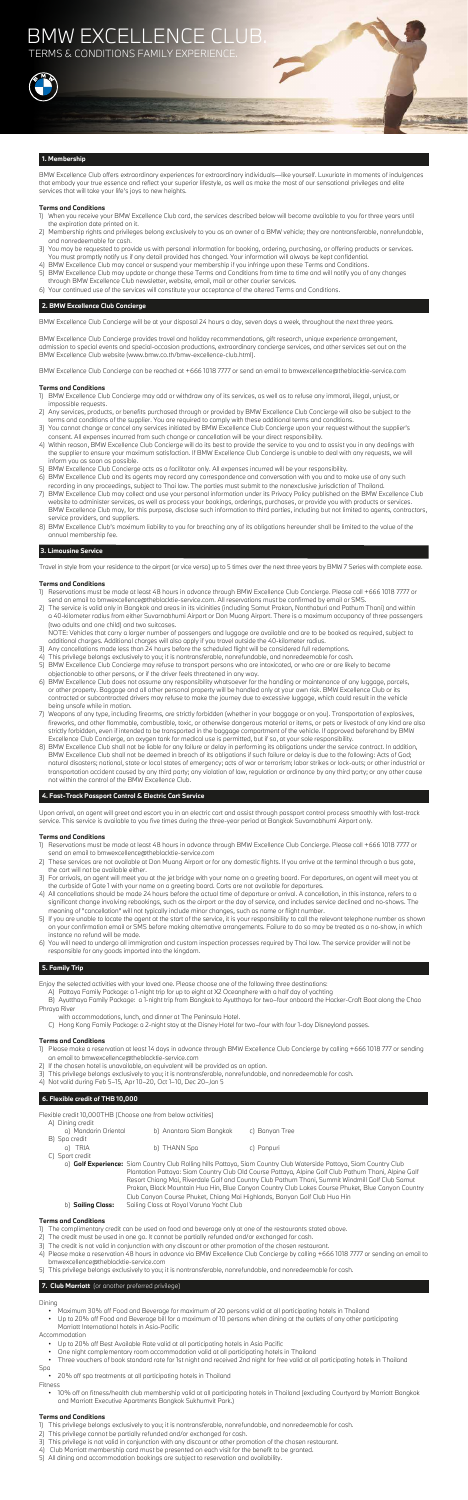BMW Excellence Club offers extraordinary experiences for extraordinary individuals—like yourself. Luxuriate in moments of indulgences that embody your true essence and reflect your superior lifestyle, as well as make the most of our sensational privileges and elite services that will take your life's joys to new heights.

## **Terms and Conditions**

- 1) When you receive your BMW Excellence Club card, the services described below will become available to you for three years until the expiration date printed on it.
- 2) Membership rights and privileges belong exclusively to you as an owner of a BMW vehicle; they are nontransferable, nonrefundable, and nonredeemable for cash.
- 3) You may be requested to provide us with personal information for booking, ordering, purchasing, or offering products or services. You must promptly notify us if any detail provided has changed. Your information will always be kept confidential.
- 4) BMW Excellence Club may cancel or suspend your membership if you infringe upon these Terms and Conditions.
- 5) BMW Excellence Club may update or change these Terms and Conditions from time to time and will notify you of any changes through BMW Excellence Club newsletter, website, email, mail or other courier services.
- 6) Your continued use of the services will constitute your acceptance of the altered Terms and Conditions.

## **2. BMW Excellence Club Concierge**

BMW Excellence Club Concierge will be at your disposal 24 hours a day, seven days a week, throughout the next three years.

BMW Excellence Club Concierge provides travel and holiday recommendations, gift research, unique experience arrangement, admission to special events and special-occasion productions, extraordinary concierge services, and other services set out on the BMW Excellence Club website (www.bmw.co.th/bmw-excellence-club.html).

BMW Excellence Club Concierge can be reached at +666 1018 7777 or send an email to bmwexcellence@theblacktie-service.com

## **Terms and Conditions**

- 1) BMW Excellence Club Concierge may add or withdraw any of its services, as well as to refuse any immoral, illegal, unjust, or impossible requests.
- 2) Any services, products, or benefits purchased through or provided by BMW Excellence Club Concierge will also be subject to the terms and conditions of the supplier. You are required to comply with these additional terms and conditions.
- 3) You cannot change or cancel any services initiated by BMW Excellence Club Concierge upon your request without the supplier's consent. All expenses incurred from such change or cancellation will be your direct responsibility.
- 4) Within reason, BMW Excellence Club Concierge will do its best to provide the service to you and to assist you in any dealings with the supplier to ensure your maximum satisfaction. If BMW Excellence Club Concierge is unable to deal with any requests, we will inform you as soon as possible.
- 5) BMW Excellence Club Concierge acts as a facilitator only. All expenses incurred will be your responsibility.
- 6) BMW Excellence Club and its agents may record any correspondence and conversation with you and to make use of any such recording in any proceedings, subject to Thai law. The parties must submit to the nonexclusive jurisdiction of Thailand.
- 7) BMW Excellence Club may collect and use your personal information under its Privacy Policy published on the BMW Excellence Club website to administer services, as well as process your bookings, orderings, purchases, or provide you with products or services. BMW Excellence Club may, for this purpose, disclose such information to third parties, including but not limited to agents, contractors, service providers, and suppliers.
- 8) BMW Excellence Club's maximum liability to you for breaching any of its obligations hereunder shall be limited to the value of the annual membership fee.

## **3. Limousine Service**

Travel in style from your residence to the airport (or vice versa) up to 5 times over the next three years by BMW 7 Series with complete ease.

## **Terms and Conditions**

- 1) Reservations must be made at least 48 hours in advance through BMW Excellence Club Concierge. Please call +666 1018 7777 or send an email to bmwexcellence@theblacktie-service.com. All reservations must be confirmed by email or SMS.
- 2) The service is valid only in Bangkok and areas in its vicinities (including Samut Prakan, Nonthaburi and Pathum Thani) and within a 40-kilometer radius from either Suvarnabhumi Airport or Don Muang Airport. There is a maximum occupancy of three passengers (two adults and one child) and two suitcases.

 NOTE: Vehicles that carry a larger number of passengers and luggage are available and are to be booked as required, subject to additional charges. Additional charges will also apply if you travel outside the 40-kilometer radius.

- 3) Any cancellations made less than 24 hours before the scheduled flight will be considered full redemptions.
- 4) This privilege belongs exclusively to you; it is nontransferable, nonrefundable, and nonredeemable for cash.
- 5) BMW Excellence Club Concierge may refuse to transport persons who are intoxicated, or who are or are likely to become objectionable to other persons, or if the driver feels threatened in any way.
- 6) BMW Excellence Club does not assume any responsibility whatsoever for the handling or maintenance of any luggage, parcels, or other property. Baggage and all other personal property will be handled only at your own risk. BMW Excellence Club or its contracted or subcontracted drivers may refuse to make the journey due to excessive luggage, which could result in the vehicle being unsafe while in motion.

- 7) Weapons of any type, including firearms, are strictly forbidden (whether in your baggage or on you). Transportation of explosives, fireworks, and other flammable, combustible, toxic, or otherwise dangerous material or items, or pets or livestock of any kind are also strictly forbidden, even if intended to be transported in the baggage compartment of the vehicle. If approved beforehand by BMW Excellence Club Concierge, an oxygen tank for medical use is permitted, but if so, at your sole responsibility.
- 8) BMW Excellence Club shall not be liable for any failure or delay in performing its obligations under the service contract. In addition, BMW Excellence Club shall not be deemed in breach of its obligations if such failure or delay is due to the following: Acts of God; natural disasters; national, state or local states of emergency; acts of war or terrorism; labor strikes or lock-outs; or other industrial or transportation accident caused by any third party; any violation of law, regulation or ordinance by any third party; or any other cause not within the control of the BMW Excellence Club.

## **4. Fast-Track Passport Control & Electric Cart Service**

Upon arrival, an agent will greet and escort you in an electric cart and assist through passport control process smoothly with fast-track service. This service is available to you five times during the three-year period at Bangkok Suvarnabhumi Airport only.

## **Terms and Conditions**

- 1) Reservations must be made at least 48 hours in advance through BMW Excellence Club Concierge. Please call +666 1018 7777 or send an email to bmwexcellence@theblacktie-service.com
- 2) These services are not available at Don Muang Airport or for any domestic flights. If you arrive at the terminal through a bus gate, the cart will not be available either.
- 3) For arrivals, an agent will meet you at the jet bridge with your name on a greeting board. For departures, an agent will meet you at the curbside of Gate 1 with your name on a greeting board. Carts are not available for departures.
- 4) All cancellations should be made 24 hours before the actual time of departure or arrival. A cancellation, in this instance, refers to a significant change involving rebookings, such as the airport or the day of service, and includes service declined and no-shows. The meaning of "cancellation" will not typically include minor changes, such as name or flight number.
- 5) If you are unable to locate the agent at the start of the service, it is your responsibility to call the relevant telephone number as shown on your confirmation email or SMS before making alternative arrangements. Failure to do so may be treated as a no-show, in which instance no refund will be made.
- 6) You will need to undergo all immigration and custom inspection processes required by Thai law. The service provider will not be responsible for any goods imported into the kingdom.

## **5. Family Trip**

Enjoy the selected activities with your loved one. Please choose one of the following three destinations:

- A) Pattaya Family Package: a 1-night trip for up to eight at X2 Oceanphere with a half day of yachting
- B) Ayutthaya Family Package: a 1-night trip from Bangkok to Ayutthaya for two–four onboard the Hacker-Craft Boat along the Chao Phraya River
	- with accommodations, lunch, and dinner at The Peninsula Hotel.
	- C) Hong Kong Family Package: a 2-night stay at the Disney Hotel for two–four with four 1-day Disneyland passes.

## **Terms and Conditions**

- 1) Please make a reservation at least 14 days in advance through BMW Excellence Club Concierge by calling +666 1018 777 or sending an email to bmwexcellence@theblacktie-service.com
- 2) If the chosen hotel is unavailable, an equivalent will be provided as an option.
- 3) This privilege belongs exclusively to you; it is nontransferable, nonrefundable, and nonredeemable for cash.
- 4) Not valid during Feb 5–15, Apr 10–20, Oct 1–10, Dec 20–Jan 5

## **6. Flexible credit of THB 10,000**

Flexible credit 10,000THB (Choose one from below activities)

| A) Dining credit<br>a) Mandarin Oriental | b) Anantara Siam Bangkok | c) Banyan Tree |
|------------------------------------------|--------------------------|----------------|
| B) Spa credit<br>a) TRIA                 | b) THANN Spa             | c) Panpuri     |
| C) Sport credit                          |                          |                |

 a) **Golf Experience:** Siam Country Club Rolling hills Pattaya, Siam Country Club Waterside Pattaya, Siam Country Club Plantation Pattaya: Siam Country Club Old Course Pattaya, Alpine Golf Club Pathum Thani, Alpine Golf Resort Chiang Mai, Riverdale Golf and Country Club Pathum Thani, Summit Windmill Golf Club Samut Prakan, Black Mountain Hua Hin, Blue Canyon Country Club Lakes Course Phuket, Blue Canyon Country Club Canyon Course Phuket, Chiang Mai Highlands, Banyan Golf Club Hua Hin b) **Sailing Class:** Sailing Class at Royal Varuna Yacht Club

## **Terms and Conditions**

- 1) The complimentary credit can be used on food and beverage only at one of the restaurants stated above.
- 2) The credit must be used in one go. It cannot be partially refunded and/or exchanged for cash.
- 3) The credit is not valid in conjunction with any discount or other promotion of the chosen restaurant.
- 4) Please make a reservation 48 hours in advance via BMW Excellence Club Concierge by calling +666 1018 7777 or sending an email to bmwexcellence@theblacktie-service.com
- 5) This privilege belongs exclusively to you; it is nontransferable, nonrefundable, and nonredeemable for cash.

## **7. Club Marriott** (or another preferred privilege)

## Dining

- Maximum 30% off Food and Beverage for maximum of 20 persons valid at all participating hotels in Thailand
- Up to 20% off Food and Beverage bill for a maximum of 10 persons when dining at the outlets of any other participating Marriott International hotels in Asia-Pacific

Accommodation

- Up to 20% off Best Available Rate valid at all participating hotels in Asia Pacific
- One night complementary room accommodation valid at all participating hotels in Thailand
- Three vouchers of book standard rate for 1st night and received 2nd night for free valid at all participating hotels in Thailand
- Spa
- 20% off spa treatments at all participating hotels in Thailand

Fitness

 • 10% off on fitness/health club membership valid at all participating hotels in Thailand (excluding Courtyard by Marriott Bangkok and Marriott Executive Apartments Bangkok Sukhumvit Park.)

#### **Terms and Conditions**

1) This privilege belongs exclusively to you; it is nontransferable, nonrefundable, and nonredeemable for cash. 2) This privilege cannot be partially refunded and/or exchanged for cash.

3) This privilege is not valid in conjunction with any discount or other promotion of the chosen restaurant.

4) Club Marriott membership card must be presented on each visit for the benefit to be granted.

5) All dining and accommodation bookings are subject to reservation and availability.

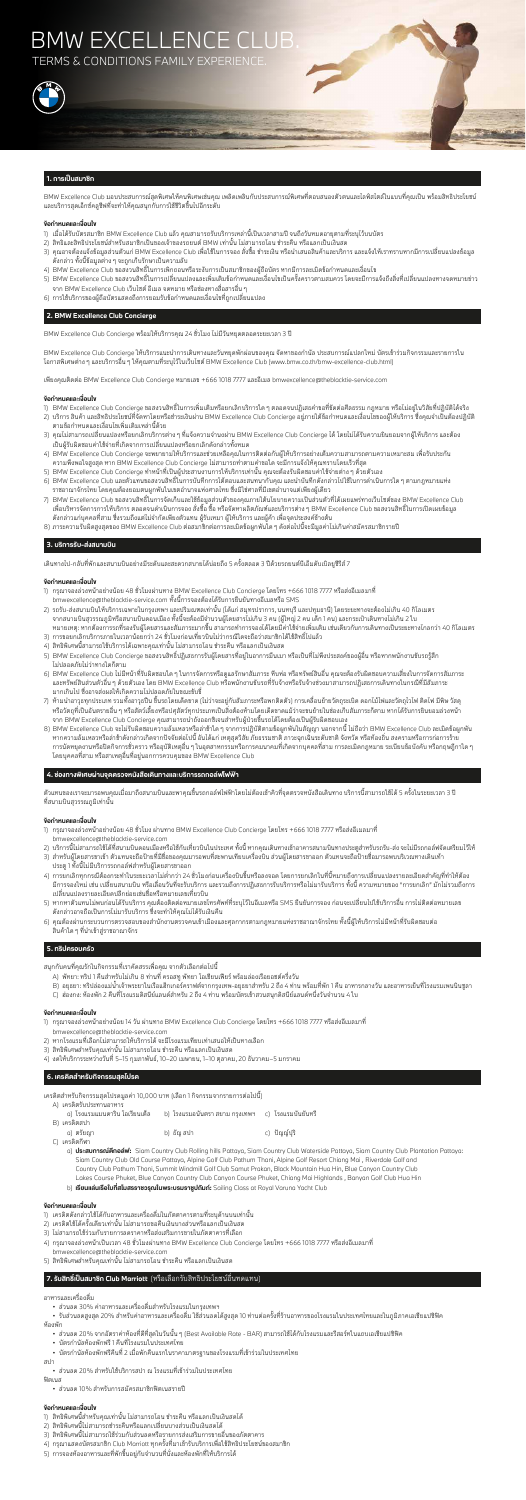## BMW EXCELLENCE CLUB. **TERMS & CONDITIONS FAMILY EXPERIENCE**



## **1. การเปนสมาชิก**

BMW Excellence Club มอบประสบการณสุดพิเศษใหคนพิเศษเชนคุณ เพลิดเพลินกับประสบการณพิเศษที่ตอบสนองตัวตนและไลฟสไตลในแบบที่คุณเปน พรอมสิทธิประโยชน และบริการสุดเอ็กซคลูซีฟที่จะทำใหคุณสนุกกับการใชชีวิตขึ้นไปอีกระดับ

### **ขอกำหนดและเงื่อนไข**

- 1) เมื่อได้รับบัตรสมาชิก BMW Excellence Club แล้ว คุณสามารถรับบริการเหล่านี้เป็นเวลาสามปี จนถึงวันหมดอายุตามที่ระบุไว้บนบัตร
- 2) สิทธิและสิทธิประโยชนสำหรับสมาชิกเปนของเจาของรถยนต BMW เทานั้น ไมสามารถโอน ชำระคืน หรือแลกเปนเงินสด
- 3) คุณอาจต้องแจ้งข้อมูลส่วนตัวแก่ BMW Excellence Club เพื่อใช้ในการจอง สั่งซื้อ ชำระเงิน หรือนำเสนอสินค้าและบริการ และแจ้งให้เราทราบหากมีการเปลี่ยนแปลงข้อมูล ดังกลาว ทั้งนี้ขอมูลตางๆ จะถูกเก็บรักษาเปนความลับ
- 4) BMW Excellence Club ขอสงวนสิทธิ์ในการเพิกถอนหรือระงับการเปนสมาชิกของผูถือบัตร หากมีการละเมิดขอกำหนดและเงื่อนไข
- 5) BMW Excellence Club ขอสงวนสิทธิ์ในการเปลี่ยนแปลงและเพิ่มเติมข้อกำหนดและเงื่อนไขเป็นครั้งคราวตามสมควร โดยจะมีการแจ้งถึงสิ่งที่เปลี่ยนแปลงทางจดหมายข่าว จาก BMW Excellence Club เว็บไซต อีเมล จดหมาย หรือชองทางสื่อสารอื่นๆ
- 6) การใชบริการของผูถือบัตรแสดงถึงการยอมรับขอกำหนดและเงื่อนไขที่ถูกเปลี่ยนแปลง

### **2. BMW Excellence Club Concierge**

BMW Excellence Club Concierge พรอมใหบริการคุณ 24 ชั่วโมง ไมมีวันหยุดตลอดระยะเวลา 3 ป

BMW Excellence Club Concierge ใหบริการแนะนำการเดินทางและวันหยุดพักผอนของคุณ จัดหาของกำนัล ประสบการณแปลกใหม บัตรเขารวมกิจกรรมและรายการใน โอกาสพิเศษตางๆ และบริการอื่นๆ ใหคุณตามที่ระบุไวในเว็บไซต BMW Excellence Club (www.bmw.co.th/bmw-excellence-club.html)

เพียงคุณติดตอ BMW Excellence Club Concierge หมายเลข +666 1018 7777 และอีเมล bmwexcellence@theblacktie-service.com

#### **ขอกำหนดและเงื่อนไข**

- 1) BMW Excellence Club Concierge ขอสงวนสิทธิ์ในการเพิ่มเติมหรือยกเลิกบริการใดๆ ตลอดจนปฏิเสธคำขอที่ขัดตอศีลธรรม กฎหมาย หรือไมอยูในวิสัยที่ปฏิบัติไดจริง
- 2) บริการ สินค้า และสิทธิประโยชน์ที่จัดหาโดยหรือชำระเงินผ่าน BMW Excellence Club Concierge อยู่ภายใต้ข้อกำหนดและเงื่อนไขของผู้ให้บริการ ซึ่งคุณจำเป็นต้องปฏิบัติ ตามขอกำหนดและเงื่อนไขเพิ่มเติมเหลานี้ดวย
- 3) คุณไม่สามารถเปลี่ยนแปลงหรือยกเลิกบริการต่าง ๆ ที่แจ้งความจำนงผ่าน BMW Excellence Club Concierge ได้ โดยไม่ได้รับความยินยอมจากผู้ให้บริการ และต้อง เปนผูรับผิดชอบคาใชจายที่เกิดจากการเปลี่ยนแปลงหรือยกเลิกดังกลาวทั้งหมด
- 4) BMW Excellence Club Concierge จะพยายามใหบริการและชวยเหลือคุณในการติดตอกับผูใหบริการอยางเต็มความสามารถตามความเหมาะสม เพื่อรับประกัน ความพึงพอใจสูงสุด หาก BMW Excellence Club Concierge ไมสามารถทำตามคำขอใด จะมีการแจงใหคุณทราบโดยเร็วที่สุด
- 5) BMW Excellence Club Concierge ทำหน้าที่เป็นผู้ประสานงานการให้บริการเท่านั้น คุณจะต้องรับผิดชอบค่าใช้จ่ายต่าง ๆ ด้วยตัวเอง
- 6) BMW Excellence Club และตัวแทนขอสงวนสิทธิ์ในการบันทึกการโตตอบและสนทนากับคุณ และนำบันทึกดังกลาวไปใชในการดำเนินการใดๆ ตามกฎหมายแหง ราชอาณาจักรไทย โดยคุณต้องยอมตนผูกพันในเขตอำนาจแห่งศาลไทย ซึ่งมิใช่ศาลที่มีเขตอำนาจแต่เพียงผู้เดียว
- 7) BMW Excellence Club ขอสงวนสิทธิ์ในการจัดเก็บและใช้ข้อมูลส่วนตัวของคุณภายใต้นโยบายความเป็นส่วนตัวที่ได้เผยแพร่ทางเว็บไซต์ของ BMW Excellence Club เพื่อบริหารจัดการการใหบริการ ตลอดจนดำเนินการจอง สั่งซื้อ ซื้อ หรือจัดหาผลิตภัณฑและบริการตางๆ BMW Excellence Club ขอสงวนสิทธิ์ในการเปดเผยขอมูล ้ดังกล่าวแก่บุคคลที่สาม ซึ่งรวมถึงแต่ไม่จำกัดเพียงตัวแทน ผู้รับเหมา ผู้ให้บริการ และผู้ค้า เพื่อจุดประสงค์ข้างต้น
- 8) ภาระความรับผิดสูงสุดของ BMW Excellence Club ตอสมาชิกตอการละเมิดขอผูกพันใดๆ ดังตอไปนี้จะมีมูลคาไมเกินคาสมัครสมาชิกรายป

- 1) กรุณาจองลวงหนาอยางนอย 48 ชั่วโมง ผานทาง BMW Excellence Club Concierge โดยโทร +666 1018 7777 หรือสงอีเมลมาที่ bmwexcellence@theblacktie-service.com
- 2) บริการนี้ไม่สามารถใช้ได้ที่สนามบินดอนเมืองหรือใช้กับเที่ยวบินในประเทศ ทั้งนี้ หากคุณเดินทางเข้าอาคารสนามบินทางประตูสำหรับรถรับ-ส่ง จะไม่มีรถกอล์ฟจัดเตรียมไว้ให้
- 3) สำหรับผู้โดยสารขาเข้า ตัวแทนจะถือป้ายที่มีชื่อของคุณมารอพบที่สะพานเทียบเครื่องบิน ส่วนผู้โดยสารขาออก ตัวแทนจะถือป้ายชื่อมารอพบบริเวณทางเดินเท้า ประตู 1 ทั้งนี้ไมมีบริการรถกอลฟสำหรับผูโดยสารขาออก
- 4) การยกเลิกทุกกรณีต้องกระทำในระยะเวลาไม่ต่ำกว่า 24 ชั่วโมงก่อนเครื่องบินขึ้นหรือลงจอด โดยการยกเลิกในที่นี้หมายถึงการเปลี่ยนแปลงรายละเอียดสำคัญที่ทำให้ต้อง มีการจองใหม่ เช่น เปลี่ยนสนามบิน หรือเลื่อนวันที่จะรับบริการ และรวมถึงการปฏิเสธการรับบริการทั้งบริการ ทั้งนี้ ความหมายของ "การยกเลิก" มักไม่รวมถึงการ เปลี่ยนแปลงรายละเอียดปลีกยอยเชนชื่อหรือหมายเลขเที่ยวบิน
- 5) หากหาตัวแทนไม่พบก่อนได้รับบริการ คุณต้องติดต่อหมายเลขโทรศัพท์ที่ระบุไว้ในอีเมลหรือ SMS ยืนยันการจอง ก่อนจะเปลี่ยนไปใช้บริการอื่น การไม่ติดต่อหมายเลข ดังกลาวอาจถือเปนการไมมารับบริการ ซึ่งจะทำใหคุณไมไดรับเงินคืน
- 6) คุณตองผานกระบวนการตรวจสอบของสำนักงานตรวจคนเขาเมืองและศุลกากรตามกฎหมายแหงราชอาณาจักรไทย ทั้งนี้ผูใหบริการไมมีหนาที่รับผิดชอบตอ ้สินค้าใด ๆ ที่นำเข้าสู่ราชอาณาจักร

## **3. บริการรับ-สงสนามบิน**

เดินทางไป-กลับที่พักและสนามบินอย่างมีระดับและสะดวกสบายได้บ่อยถึง 5 ครั้งตลอด 3 ปีด้วยรถยนต์บีเอ็มดับเบิลยูซีรีส์ 7

#### **ขอกำหนดและเงื่อนไข**

- 1) กรุณาจองลวงหนาอยางนอย 48 ชั่วโมงผานทาง BMW Excellence Club Concierge โดยโทร +666 1018 7777 หรือสงอีเมลมาที่ bmwexcellence@theblacktie-service.com ทั้งนี้การจองตองไดรับการยืนยันทางอีเมลหรือ SMS
- 2) รถรับ-สงสนามบินใหบริการเฉพาะในกรุงเทพฯ และปริมณฑลเทานั้น (ไดแก สมุทรปราการ, นนทบุรี และปทุมธานี) โดยระยะทางจะตองไมเกิน 40 กิโลเมตร จากสนามบินสุวรรณภูมิหรือสนามบินดอนเมือง ทั้งนี้จะตองมีจำนวนผูโดยสารไมเกิน 3 คน (ผูใหญ 2 คน เด็ก 1 คน) และกระเปาเดินทางไมเกิน 2 ใบ หมายเหตุ: หากต้องการรถที่รองรับผู้โดยสารและสัมภาระมากขึ้น สามารถทำการจองได้โดยมีค่าใช้จ่ายเพิ่มเติม เช่นเดียวกับการเดินทางเป็นระยะทางไกลกว่า 40 กิโลเมตร
- 3) การขอยกเลิกบริการภายในเวลาน้อยกว่า 24 ชั่วโมงก่อนเที่ยวบินไม่ว่ากรณีใดจะถือว่าสมาชิกได้ใช้สิทธิ์ไปแล้ว
- 4) สิทธิพิเศษนี้สามารถใชบริการไดเฉพาะคุณเทานั้น ไมสามารถโอน ชำระคืน หรือแลกเปนเงินสด
- 5) BMW Excellence Club Concierge ขอสงวนสิทธิ์ปฏิเสธการรับผู้โดยสารที่อยู่ในอาการมึนเมา หรือเป็นที่ไม่พึงประสงค์ของผู้อื่น หรือหากพนักงานขับรถรู้สึก ไมปลอดภัยไมวาทางใดก็ตาม
- 6) BMW Excellence Club ไมมีหนาที่รับผิดชอบใดๆ ในการจัดการหรือดูแลรักษาสัมภาระ หีบหอ หรือทรัพยสินอื่น คุณจะตองรับผิดชอบความเสี่ยงในการจัดการสัมภาระ และทรัพย์สินส่วนตัวอื่น ๆ ด้วยตัวเอง โดย BMW Excellence Club หรือพนักงานขับรถที่รับจ้างหรือรับจ้างช่วงมาสามารถปฏิเสธการเดินทางในกรณีที่มีสัมภาระ มากเกินไป ซึ่งอาจสงผลใหเกิดความไมปลอดภัยในขณะขับขี่
- 7) ห้ามนำอาวุธทุกประเภท รวมทั้งอาวุธปืน ขึ้นรถโดยเด็ดขาด (ไม่ว่าจะอยู่กับสัมภาระหรือพกติดตัว) การเคลื่อนย้ายวัตถุระเบิด ดอกไม้ไฟและวัตถุไวไฟ ติดไฟ มีพิษ วัสดุ หรือวัตถุที่เป็นอันตรายอื่น ๆ หรือสัตว์เลี้ยงหรือปศุสัตว์ทุกประเภทเป็นสิ่งต้องห้ามโดยเด็ดขาดแม้ว่าจะขนย้ายในช่องเก็บสัมภาระก็ตาม หากได้รับการยินยอมล่วงหน้า จาก BMW Excellence Club Concierge คุณสามารถนำถังออกซิเจนสำหรับผูปวยขึ้นรถไดโดยตองเปนผูรับผิดชอบเอง
- 8) BMW Excellence Club จะไมรับผิดชอบความลมเหลวหรือลาชาใดๆ จากการปฏิบัติตามขอผูกพันในสัญญา นอกจากนี้ ไมถือวา BMW Excellence Club ละเมิดขอผูกพัน หากความล้มเหลวหรือล่าช้าดังกล่าวเกิดจากปัจจัยต่อไปนี้ อันได้แก่ เหตุสุดวิสัย ภัยธรรมชาติ ภาวะฉุกเฉินระดับชาติ จังหวัด หรือท้องถิ่น สงครามหรือการก่อการร้าย การนัดหยุดงานหรือปิดกิจการชั่วคราว หรืออุบัติเหตุอื่น ๆ ในอุตสาหกรรมหรือการคมนาคมที่เกิดจากบุคคลที่สาม การละเมิดกฎหมาย ระเบียบข้อบังคับ หรือกฤษฎีกาใด ๆ โดยบุคคลที่สาม หรือสาเหตุอื่นที่อยูนอกการควบคุมของ BMW Excellence Club

#### **4. ชองทางพิเศษผานจุดตรวจหนังสือเดินทางและบริการรถกอลฟไฟฟา**

วแทนของเราจะมารอพบคุณเมื่อมาถึงสนามบินและพาคุณขึ้นรถกอล์ฟไฟฟ้าโดยไม่ต้องเข้าคิวที่จุดตรวจหนังสือเดินทาง บริการนี้สามารถใช้ได้ 5 ครั้งในระย

ที่สนามบินสุวรรณภูมิเทานั้น

## **ขอกำหนดและเงื่อนไข**

## **5. ทริปครอบครัว**

สนุกกับคนที่คุณรักในกิจกรรมที่เราคัดสรรเพื่อคุณ จากตัวเลือกตอไปนี้

- A) พัทยา: ทริป 1 คืนสำหรับไมเกิน 8 ทานที่ ครอสทู พัทยา โอเชียนเฟยร พรอมลองเรือยอชตครึ่งวัน
- B) อยุธยา: ทริปล่องแม่น้ำเจ้าพระยาในเรือแฮ็กเกอร์คราฟต์จากกรุงเทพ-อยุธยาสำหรับ 2 ถึง 4 ท่าน พร้อมที่พัก 1 คืน อาหารกลางวัน และอาหารเย็นที่โรงแรมเพนนินซูลา
- C) ฮองกง: หองพัก 2 คืนที่โรงแรมดิสนียแลนดสำหรับ 2 ถึง 4 ทาน พรอมบัตรเขาสวนสนุกดิสนียแลนดหนึ่งวันจำนวน 4 ใบ

#### **ขอกำหนดและเงื่อนไข**

- 1) กรุณาจองลวงหนาอยางนอย 14 วัน ผานทาง BMW Excellence Club Concierge โดยโทร +666 1018 7777 หรือสงอีเมลมาที่ bmwexcellence@theblacktie-service.com
- 2) หากโรงแรมที่เลือกไม่สามารถให้บริการได้ จะมีโรงแรมเทียบเท่าเสนอให้เป็นทางเลือก
- 3) สิทธิพิเศษสำหรับคุณเทานั้น ไมสามารถโอน ชำระคืน หรือแลกเปนเงินสด
- 4) งดใหบริการระหวางวันที่ 5–15 กุมภาพันธ, 10–20 เมษายน, 1–10 ตุลาคม, 20 ธันวาคม–5 มกราคม

## **6. เครดิตสำหรับกิจกรรมสุดโปรด**

เครดิตสำหรับกิจกรรมสุดโปรดมูลคา 10,000 บาท (เลือก 1 กิจกรรมจากรายการตอไปนี้)

| A) เครดิตรับประทานอาหาร         |                                                       |              |
|---------------------------------|-------------------------------------------------------|--------------|
| ิ a) โรงแรมแมนดาริน โอเรียนเต็ล | b) โรงแรมอนันตรา สยาม กรุงเทพฯ     c) โรงแรมบันยันทรี |              |
| B) เครดิตสปา                    |                                                       |              |
| a) ตรัยฌา                       | b) ธัญ สปา                                            | c) ปัญญ์ปุริ |
| 12222                           |                                                       |              |

- C) เครดิตกีฬา
	- a) **ประสบการณตีกอลฟ:** Siam Country Club Rolling hills Pattaya, Siam Country Club Waterside Pattaya, Siam Country Club Plantation Pattaya: Siam Country Club Old Course Pattaya, Alpine Golf Club Pathum Thani, Alpine Golf Resort Chiang Mai , Riverdale Golf and Country Club Pathum Thani, Summit Windmill Golf Club Samut Prakan, Black Mountain Hua Hin, Blue Canyon Country Club Lakes Course Phuket, Blue Canyon Country Club Canyon Course Phuket, Chiang Mai Highlands , Banyan Golf Club Hua Hin
	- b) **เรียนแลนเรือใบที่สโมสรราชวรุณในพระบรมราชูปถัมภ:** Sailing Class at Royal Varuna Yacht Club

#### **ขอกำหนดและเงื่อนไข**

- 1) เครดิตดังกลาวใชไดกับอาหารและเครื่องดื่มในภัตตาคารตามที่ระบุดานบนเทานั้น
- 2) เครดิตใชไดครั้งเดียวเทานั้น ไมสามารถขอคืนเงินบางสวนหรือแลกเปนเงินสด
- 3) ไม่สามารถใช้ร่วมกับรายการลดราคาหรือส่งเสริมการขายในภัตตาคารที่เลือก
- 4) กรุณาจองลวงหนาเปนเวลา 48 ชั่วโมงผานทาง BMW Excellence Club Concierge โดยโทร +666 1018 7777 หรือสงอีเมลมาที่ bmwexcellence@theblacktie-service.com
- 5) สิทธิพิเศษสำหรับคุณเทานั้น ไมสามารถโอน ชำระคืน หรือแลกเปนเงินสด

## **7. รับสิทธิ์เปนสมาชิก Club Marriott** (หรือเลือกรับสิทธิประโยชนอื่นทดแทน)

#### อาหารและเครื่องดื่ม

• สวนลด 30% คาอาหารและเครื่องดื่มสำหรับโรงแรมในกรุงเทพฯ

 • รับสวนลดสูงสุด 20% สําหรับคาอาหารและเครื่องดื่ม ใชสวนลดไดสูงสุด 10 ทานตอครั้งที่รานอาหารของโรงแรมในประเทศไทยและในภูมิภาคเอเชียแปซิฟค หองพัก

- สวนลด 20% จากอัตราคาหองที่ดีที่สุดในวันนั้นๆ (Best Available Rate BAR) สามารถใชไดกับโรงแรมและรีสอรทในแถบเอเชียแปซิฟค
- บัตรกำนัลหองพักฟรี 1 คืนที่โรงแรมในประเทศไทย
- บัตรกำนัลหองพักฟรีคืนที่ 2 เมื่อพักคืนแรกในราคามาตรฐานของโรงแรมที่เขารวมในประเทศไทย

สปา

• สวนลด 20% สำหรับใชบริการสปา ณ โรงแรมที่เขารวมในประเทศไทย

ฟตเนส

• สวนลด 10% สำหรับการสมัครสมาชิกฟตเนสรายป

- 1) สิทธิพิเศษนี้สำหรับคุณเทานั้น ไมสามารถโอน ชำระคืน หรือแลกเปนเงินสดได
- 2) สิทธิพิเศษนี้ไมสามารถชำระคืนหรือแลกเปลี่ยนบางสวนเปนเงินสดได
- 3) สิทธิพิเศษนี้ไม่สามารถใช้ร่วมกับส่วนลดหรือรายการส่งเสริมการขายอื่นของภัตตาคาร
- 4) กรุณาแสดงบัตรสมาชิก Club Marriott ทุกครั้งที่มาเข้ารับบริการเพื่อใช้สิทธิประโยชน์ของสมาชิก
- 5) การจองหองอาหารและที่พักขึ้นอยูกับจำนวนที่นั่งและหองพักที่ใหบริการได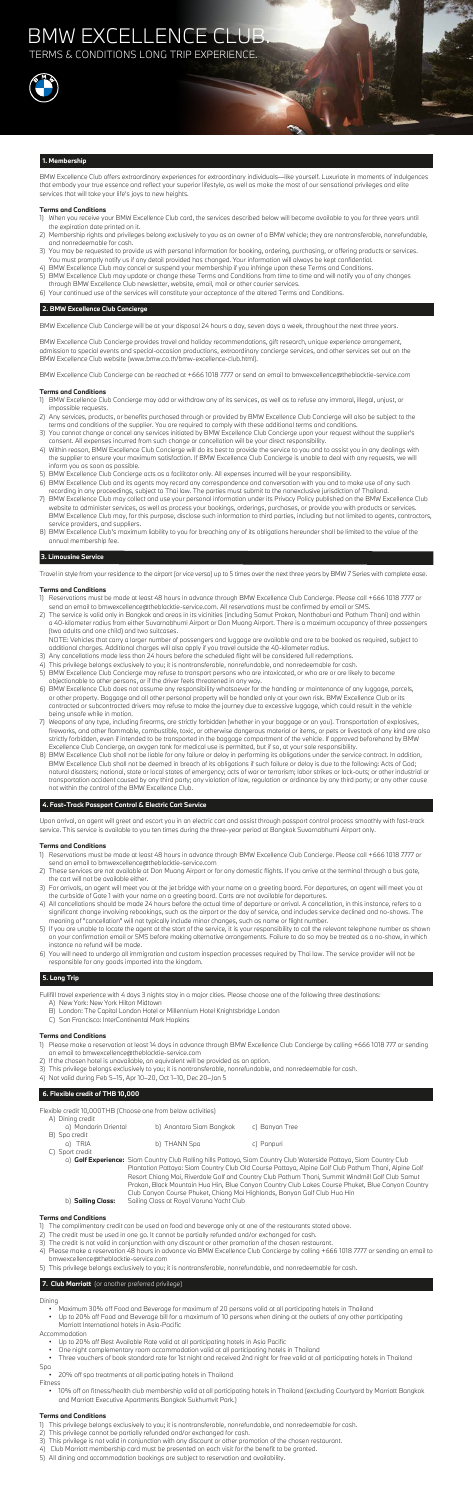BMW Excellence Club offers extraordinary experiences for extraordinary individuals—like yourself. Luxuriate in moments of indulgences that embody your true essence and reflect your superior lifestyle, as well as make the most of our sensational privileges and elite services that will take your life's joys to new heights.

## **Terms and Conditions**

- 1) When you receive your BMW Excellence Club card, the services described below will become available to you for three years until the expiration date printed on it.
- 2) Membership rights and privileges belong exclusively to you as an owner of a BMW vehicle; they are nontransferable, nonrefundable, and nonredeemable for cash.
- 3) You may be requested to provide us with personal information for booking, ordering, purchasing, or offering products or services. You must promptly notify us if any detail provided has changed. Your information will always be kept confidential.
- 4) BMW Excellence Club may cancel or suspend your membership if you infringe upon these Terms and Conditions.
- 5) BMW Excellence Club may update or change these Terms and Conditions from time to time and will notify you of any changes through BMW Excellence Club newsletter, website, email, mail or other courier services.
- 6) Your continued use of the services will constitute your acceptance of the altered Terms and Conditions.

## **2. BMW Excellence Club Concierge**

BMW Excellence Club Concierge will be at your disposal 24 hours a day, seven days a week, throughout the next three years.

BMW Excellence Club Concierge provides travel and holiday recommendations, gift research, unique experience arrangement, admission to special events and special-occasion productions, extraordinary concierge services, and other services set out on the BMW Excellence Club website (www.bmw.co.th/bmw-excellence-club.html).

BMW Excellence Club Concierge can be reached at +666 1018 7777 or send an email to bmwexcellence@theblacktie-service.com

## **Terms and Conditions**

- 1) BMW Excellence Club Concierge may add or withdraw any of its services, as well as to refuse any immoral, illegal, unjust, or impossible requests.
- 2) Any services, products, or benefits purchased through or provided by BMW Excellence Club Concierge will also be subject to the terms and conditions of the supplier. You are required to comply with these additional terms and conditions.
- 3) You cannot change or cancel any services initiated by BMW Excellence Club Concierge upon your request without the supplier's consent. All expenses incurred from such change or cancellation will be your direct responsibility.
- 4) Within reason, BMW Excellence Club Concierge will do its best to provide the service to you and to assist you in any dealings with the supplier to ensure your maximum satisfaction. If BMW Excellence Club Concierge is unable to deal with any requests, we will inform you as soon as possible.
- 5) BMW Excellence Club Concierge acts as a facilitator only. All expenses incurred will be your responsibility.
- 6) BMW Excellence Club and its agents may record any correspondence and conversation with you and to make use of any such recording in any proceedings, subject to Thai law. The parties must submit to the nonexclusive jurisdiction of Thailand.
- 7) BMW Excellence Club may collect and use your personal information under its Privacy Policy published on the BMW Excellence Club website to administer services, as well as process your bookings, orderings, purchases, or provide you with products or services. BMW Excellence Club may, for this purpose, disclose such information to third parties, including but not limited to agents, contractors, service providers, and suppliers.
- 8) BMW Excellence Club's maximum liability to you for breaching any of its obligations hereunder shall be limited to the value of the annual membership fee.

## **3. Limousine Service**

Travel in style from your residence to the airport (or vice versa) up to 5 times over the next three years by BMW 7 Series with complete ease.

## **Terms and Conditions**

- 1) Reservations must be made at least 48 hours in advance through BMW Excellence Club Concierge. Please call +666 1018 7777 or send an email to bmwexcellence@theblacktie-service.com. All reservations must be confirmed by email or SMS.
- 2) The service is valid only in Bangkok and areas in its vicinities (including Samut Prakan, Nonthaburi and Pathum Thani) and within a 40-kilometer radius from either Suvarnabhumi Airport or Don Muang Airport. There is a maximum occupancy of three passengers (two adults and one child) and two suitcases.

 NOTE: Vehicles that carry a larger number of passengers and luggage are available and are to be booked as required, subject to additional charges. Additional charges will also apply if you travel outside the 40-kilometer radius.

- 3) Any cancellations made less than 24 hours before the scheduled flight will be considered full redemptions.
- 4) This privilege belongs exclusively to you; it is nontransferable, nonrefundable, and nonredeemable for cash.
- 5) BMW Excellence Club Concierge may refuse to transport persons who are intoxicated, or who are or are likely to become objectionable to other persons, or if the driver feels threatened in any way.
- 6) BMW Excellence Club does not assume any responsibility whatsoever for the handling or maintenance of any luggage, parcels, or other property. Baggage and all other personal property will be handled only at your own risk. BMW Excellence Club or its contracted or subcontracted drivers may refuse to make the journey due to excessive luggage, which could result in the vehicle being unsafe while in motion.
- 
- 7) Weapons of any type, including firearms, are strictly forbidden (whether in your baggage or on you). Transportation of explosives, fireworks, and other flammable, combustible, toxic, or otherwise dangerous material or items, or pets or livestock of any kind are also strictly forbidden, even if intended to be transported in the baggage compartment of the vehicle. If approved beforehand by BMW Excellence Club Concierge, an oxygen tank for medical use is permitted, but if so, at your sole responsibility.
- 8) BMW Excellence Club shall not be liable for any failure or delay in performing its obligations under the service contract. In addition, BMW Excellence Club shall not be deemed in breach of its obligations if such failure or delay is due to the following: Acts of God; natural disasters; national, state or local states of emergency; acts of war or terrorism; labor strikes or lock-outs; or other industrial or transportation accident caused by any third party; any violation of law, regulation or ordinance by any third party; or any other cause not within the control of the BMW Excellence Club.

## **4. Fast-Track Passport Control & Electric Cart Service**

Upon arrival, an agent will greet and escort you in an electric cart and assist through passport control process smoothly with fast-track service. This service is available to you ten times during the three-year period at Bangkok Suvarnabhumi Airport only.

## **Terms and Conditions**

- 1) Reservations must be made at least 48 hours in advance through BMW Excellence Club Concierge. Please call +666 1018 7777 or send an email to bmwexcellence@theblacktie-service.com
- 2) These services are not available at Don Muang Airport or for any domestic flights. If you arrive at the terminal through a bus gate, the cart will not be available either.
- 3) For arrivals, an agent will meet you at the jet bridge with your name on a greeting board. For departures, an agent will meet you at the curbside of Gate 1 with your name on a greeting board. Carts are not available for departures.
- 4) All cancellations should be made 24 hours before the actual time of departure or arrival. A cancellation, in this instance, refers to a significant change involving rebookings, such as the airport or the day of service, and includes service declined and no-shows. The meaning of "cancellation" will not typically include minor changes, such as name or flight number.
- 5) If you are unable to locate the agent at the start of the service, it is your responsibility to call the relevant telephone number as shown on your confirmation email or SMS before making alternative arrangements. Failure to do so may be treated as a no-show, in which instance no refund will be made.
- 6) You will need to undergo all immigration and custom inspection processes required by Thai law. The service provider will not be responsible for any goods imported into the kingdom.

## **5. Long Trip**

Fullfill travel experience with 4 days 3 nights stay in a major cities. Please choose one of the following three destinations:

- A) New York: New York Hilton Midtown
- B) London: The Capital London Hotel or Millennium Hotel Knightsbridge London
- C) San Francisco: InterContinental Mark Hopkins

## **Terms and Conditions**

- 1) Please make a reservation at least 14 days in advance through BMW Excellence Club Concierge by calling +666 1018 777 or sending an email to bmwexcellence@theblacktie-service.com
- 2) If the chosen hotel is unavailable, an equivalent will be provided as an option.
- 3) This privilege belongs exclusively to you; it is nontransferable, nonrefundable, and nonredeemable for cash.
- 4) Not valid during Feb 5–15, Apr 10–20, Oct 1–10, Dec 20–Jan 5

## **6. Flexible credit of THB 10,000**

Flexible credit 10,000THB (Choose one from below activities)

| A) Dining credit     |                          |                |
|----------------------|--------------------------|----------------|
| a) Mandarin Oriental | b) Anantara Siam Bangkok | c) Banyan Tree |
| B) Spa credit        |                          |                |
| a) TRIA              | b) THANN Spa             | c) Panpuri     |
| C) Sport credit      |                          |                |

 a) **Golf Experience:** Siam Country Club Rolling hills Pattaya, Siam Country Club Waterside Pattaya, Siam Country Club Plantation Pattaya: Siam Country Club Old Course Pattaya, Alpine Golf Club Pathum Thani, Alpine Golf Resort Chiang Mai, Riverdale Golf and Country Club Pathum Thani, Summit Windmill Golf Club Samut Prakan, Black Mountain Hua Hin, Blue Canyon Country Club Lakes Course Phuket, Blue Canyon Country Club Canyon Course Phuket, Chiang Mai Highlands, Banyan Golf Club Hua Hin b) **Sailing Class:** Sailing Class at Royal Varuna Yacht Club

## **Terms and Conditions**

- 1) The complimentary credit can be used on food and beverage only at one of the restaurants stated above.
- 2) The credit must be used in one go. It cannot be partially refunded and/or exchanged for cash.
- 3) The credit is not valid in conjunction with any discount or other promotion of the chosen restaurant.
- 4) Please make a reservation 48 hours in advance via BMW Excellence Club Concierge by calling +666 1018 7777 or sending an email to bmwexcellence@theblacktie-service.com
- 5) This privilege belongs exclusively to you; it is nontransferable, nonrefundable, and nonredeemable for cash.

## **7. Club Marriott** (or another preferred privilege)

## Dining

- Maximum 30% off Food and Beverage for maximum of 20 persons valid at all participating hotels in Thailand
- Up to 20% off Food and Beverage bill for a maximum of 10 persons when dining at the outlets of any other participating Marriott International hotels in Asia-Pacific

Accommodation

- Up to 20% off Best Available Rate valid at all participating hotels in Asia Pacific
- One night complementary room accommodation valid at all participating hotels in Thailand
- Three vouchers of book standard rate for 1st night and received 2nd night for free valid at all participating hotels in Thailand

Spa

- 20% off spa treatments at all participating hotels in Thailand
- Fitness
	- 10% off on fitness/health club membership valid at all participating hotels in Thailand (excluding Courtyard by Marriott Bangkok and Marriott Executive Apartments Bangkok Sukhumvit Park.)

## **Terms and Conditions**

1) This privilege belongs exclusively to you; it is nontransferable, nonrefundable, and nonredeemable for cash.

2) This privilege cannot be partially refunded and/or exchanged for cash. 3) This privilege is not valid in conjunction with any discount or other promotion of the chosen restaurant. 4) Club Marriott membership card must be presented on each visit for the benefit to be granted. 5) All dining and accommodation bookings are subject to reservation and availability.

## BMW EXCELLENCE CLUB.

TERMS & CONDITIONS LONG TRIP EXPERIENCE.